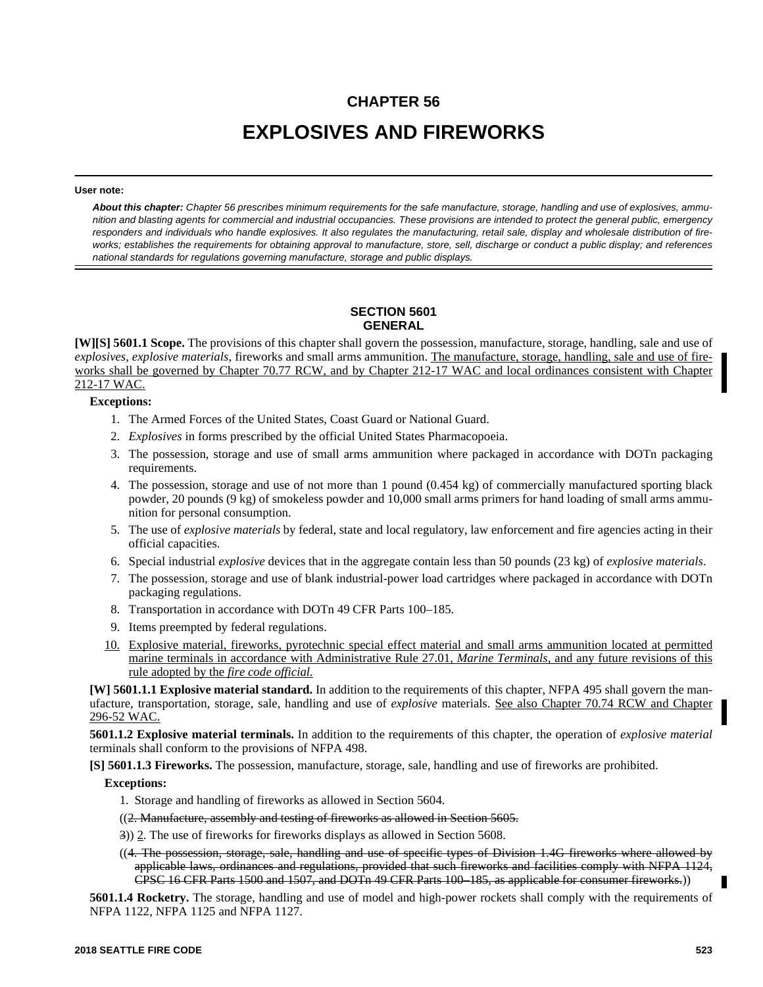# **CHAPTER 56 EXPLOSIVES AND FIREWORKS**

#### **User note:**

*About this chapter: Chapter 56 prescribes minimum requirements for the safe manufacture, storage, handling and use of explosives, ammunition and blasting agents for commercial and industrial occupancies. These provisions are intended to protect the general public, emergency responders and individuals who handle explosives. It also regulates the manufacturing, retail sale, display and wholesale distribution of fireworks; establishes the requirements for obtaining approval to manufacture, store, sell, discharge or conduct a public display; and references national standards for regulations governing manufacture, storage and public displays.* 

# **SECTION 5601 GENERAL**

**[W][S] 5601.1 Scope.** The provisions of this chapter shall govern the possession, manufacture, storage, handling, sale and use of *explosives*, *explosive materials*, fireworks and small arms ammunition. The manufacture, storage, handling, sale and use of fireworks shall be governed by Chapter 70.77 RCW, and by Chapter 212-17 WAC and local ordinances consistent with Chapter 212-17 WAC.

# **Exceptions:**

- 1. The Armed Forces of the United States, Coast Guard or National Guard.
- 2. *Explosives* in forms prescribed by the official United States Pharmacopoeia.
- 3. The possession, storage and use of small arms ammunition where packaged in accordance with DOTn packaging requirements.
- 4. The possession, storage and use of not more than 1 pound (0.454 kg) of commercially manufactured sporting black powder, 20 pounds (9 kg) of smokeless powder and 10,000 small arms primers for hand loading of small arms ammunition for personal consumption.
- 5. The use of *explosive materials* by federal, state and local regulatory, law enforcement and fire agencies acting in their official capacities.
- 6. Special industrial *explosive* devices that in the aggregate contain less than 50 pounds (23 kg) of *explosive materials*.
- 7. The possession, storage and use of blank industrial-power load cartridges where packaged in accordance with DOTn packaging regulations.
- 8. Transportation in accordance with DOTn 49 CFR Parts 100–185.
- 9. Items preempted by federal regulations.
- 10. Explosive material, fireworks, pyrotechnic special effect material and small arms ammunition located at permitted marine terminals in accordance with Administrative Rule 27.01, *Marine Terminals,* and any future revisions of this rule adopted by the *fire code official.*

**[W] 5601.1.1 Explosive material standard.** In addition to the requirements of this chapter, NFPA 495 shall govern the manufacture, transportation, storage, sale, handling and use of *explosive* materials. See also Chapter 70.74 RCW and Chapter 296-52 WAC.

**5601.1.2 Explosive material terminals.** In addition to the requirements of this chapter, the operation of *explosive material* terminals shall conform to the provisions of NFPA 498.

**[S] 5601.1.3 Fireworks.** The possession, manufacture, storage, sale, handling and use of fireworks are prohibited.

# **Exceptions:**

- 1. Storage and handling of fireworks as allowed in Section 5604.
- ((2. Manufacture, assembly and testing of fireworks as allowed in Section 5605.
- 3)) 2. The use of fireworks for fireworks displays as allowed in Section 5608.
- ((4. The possession, storage, sale, handling and use of specific types of Division 1.4G fireworks where allowed by applicable laws, ordinances and regulations, provided that such fireworks and facilities comply with NFPA 1124, CPSC 16 CFR Parts 1500 and 1507, and DOTn 49 CFR Parts 100–185, as applicable for consumer fireworks.))

**5601.1.4 Rocketry.** The storage, handling and use of model and high-power rockets shall comply with the requirements of NFPA 1122, NFPA 1125 and NFPA 1127.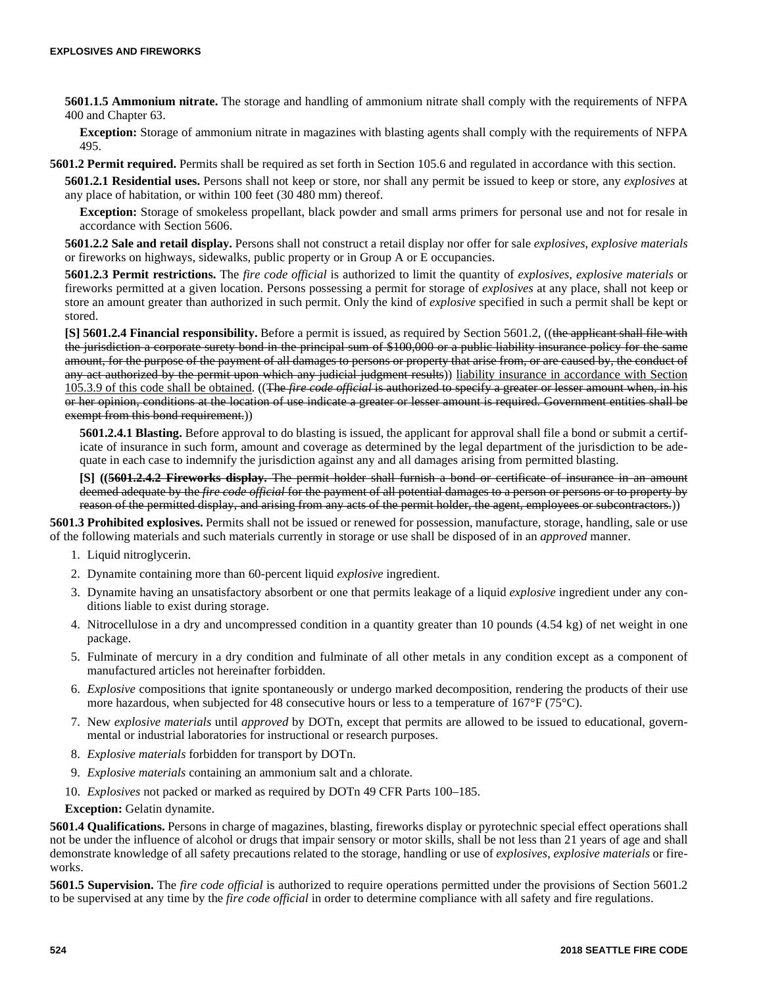**5601.1.5 Ammonium nitrate.** The storage and handling of ammonium nitrate shall comply with the requirements of NFPA 400 and Chapter 63.

**Exception:** Storage of ammonium nitrate in magazines with blasting agents shall comply with the requirements of NFPA 495.

**5601.2 Permit required.** Permits shall be required as set forth in Section 105.6 and regulated in accordance with this section.

**5601.2.1 Residential uses.** Persons shall not keep or store, nor shall any permit be issued to keep or store, any *explosives* at any place of habitation, or within 100 feet (30 480 mm) thereof.

**Exception:** Storage of smokeless propellant, black powder and small arms primers for personal use and not for resale in accordance with Section 5606.

**5601.2.2 Sale and retail display.** Persons shall not construct a retail display nor offer for sale *explosives*, *explosive materials* or fireworks on highways, sidewalks, public property or in Group A or E occupancies.

**5601.2.3 Permit restrictions.** The *fire code official* is authorized to limit the quantity of *explosives*, *explosive materials* or fireworks permitted at a given location. Persons possessing a permit for storage of *explosives* at any place, shall not keep or store an amount greater than authorized in such permit. Only the kind of *explosive* specified in such a permit shall be kept or stored.

**[S] 5601.2.4 Financial responsibility.** Before a permit is issued, as required by Section 5601.2, ((the applicant shall file with the jurisdiction a corporate surety bond in the principal sum of \$100,000 or a public liability insurance policy for the same amount, for the purpose of the payment of all damages to persons or property that arise from, or are caused by, the conduct of any act authorized by the permit upon which any judicial judgment results)) liability insurance in accordance with Section 105.3.9 of this code shall be obtained. ((The *fire code official* is authorized to specify a greater or lesser amount when, in his or her opinion, conditions at the location of use indicate a greater or lesser amount is required. Government entities shall be exempt from this bond requirement.))

**5601.2.4.1 Blasting.** Before approval to do blasting is issued, the applicant for approval shall file a bond or submit a certificate of insurance in such form, amount and coverage as determined by the legal department of the jurisdiction to be adequate in each case to indemnify the jurisdiction against any and all damages arising from permitted blasting.

**[S] ((5601.2.4.2 Fireworks display.** The permit holder shall furnish a bond or certificate of insurance in an amount deemed adequate by the *fire code official* for the payment of all potential damages to a person or persons or to property by reason of the permitted display, and arising from any acts of the permit holder, the agent, employees or subcontractors.))

**5601.3 Prohibited explosives.** Permits shall not be issued or renewed for possession, manufacture, storage, handling, sale or use of the following materials and such materials currently in storage or use shall be disposed of in an *approved* manner.

- 1. Liquid nitroglycerin.
- 2. Dynamite containing more than 60-percent liquid *explosive* ingredient.
- 3. Dynamite having an unsatisfactory absorbent or one that permits leakage of a liquid *explosive* ingredient under any conditions liable to exist during storage.
- 4. Nitrocellulose in a dry and uncompressed condition in a quantity greater than 10 pounds (4.54 kg) of net weight in one package.
- 5. Fulminate of mercury in a dry condition and fulminate of all other metals in any condition except as a component of manufactured articles not hereinafter forbidden.
- 6. *Explosive* compositions that ignite spontaneously or undergo marked decomposition, rendering the products of their use more hazardous, when subjected for 48 consecutive hours or less to a temperature of  $167^{\circ}F (75^{\circ}C)$ .
- 7. New *explosive materials* until *approved* by DOTn, except that permits are allowed to be issued to educational, governmental or industrial laboratories for instructional or research purposes.
- 8. *Explosive materials* forbidden for transport by DOTn.
- 9. *Explosive materials* containing an ammonium salt and a chlorate.
- 10. *Explosives* not packed or marked as required by DOTn 49 CFR Parts 100–185.

**Exception:** Gelatin dynamite.

**5601.4 Qualifications.** Persons in charge of magazines, blasting, fireworks display or pyrotechnic special effect operations shall not be under the influence of alcohol or drugs that impair sensory or motor skills, shall be not less than 21 years of age and shall demonstrate knowledge of all safety precautions related to the storage, handling or use of *explosives*, *explosive materials* or fireworks.

**5601.5 Supervision.** The *fire code official* is authorized to require operations permitted under the provisions of Section 5601.2 to be supervised at any time by the *fire code official* in order to determine compliance with all safety and fire regulations.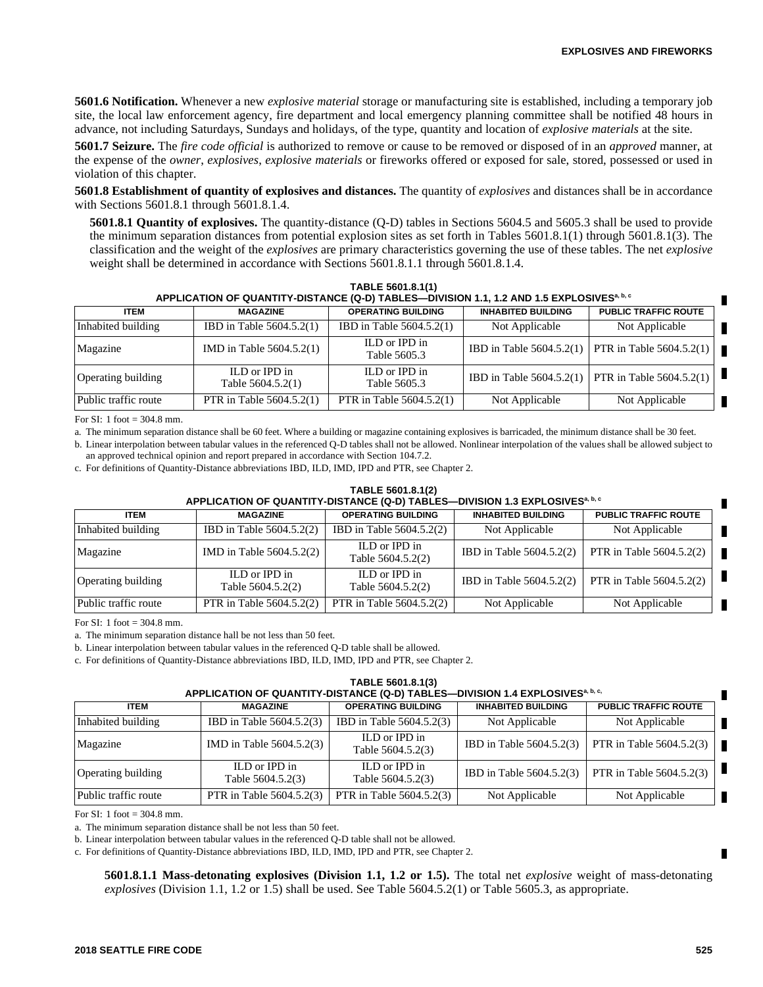**5601.6 Notification.** Whenever a new *explosive material* storage or manufacturing site is established, including a temporary job site, the local law enforcement agency, fire department and local emergency planning committee shall be notified 48 hours in advance, not including Saturdays, Sundays and holidays, of the type, quantity and location of *explosive materials* at the site.

**5601.7 Seizure.** The *fire code official* is authorized to remove or cause to be removed or disposed of in an *approved* manner, at the expense of the *owner*, *explosives*, *explosive materials* or fireworks offered or exposed for sale, stored, possessed or used in violation of this chapter.

**5601.8 Establishment of quantity of explosives and distances.** The quantity of *explosives* and distances shall be in accordance with Sections 5601.8.1 through 5601.8.1.4.

**5601.8.1 Quantity of explosives.** The quantity-distance (Q-D) tables in Sections 5604.5 and 5605.3 shall be used to provide the minimum separation distances from potential explosion sites as set forth in Tables 5601.8.1(1) through 5601.8.1(3). The classification and the weight of the *explosives* are primary characteristics governing the use of these tables. The net *explosive* weight shall be determined in accordance with Sections 5601.8.1.1 through 5601.8.1.4.

**TABLE 5601.8.1(1)**

| APPLICATION OF QUANTITY-DISTANCE (Q-D) TABLES-DIVISION 1.1, 1.2 AND 1.5 EXPLOSIVES <sup>a, b, c</sup> |                                    |                               |                                                     |                                                     |  |  |  |  |
|-------------------------------------------------------------------------------------------------------|------------------------------------|-------------------------------|-----------------------------------------------------|-----------------------------------------------------|--|--|--|--|
| <b>ITEM</b>                                                                                           | <b>MAGAZINE</b>                    | <b>OPERATING BUILDING</b>     | <b>INHABITED BUILDING</b>                           | <b>PUBLIC TRAFFIC ROUTE</b>                         |  |  |  |  |
| Inhabited building                                                                                    | <b>IBD</b> in Table $5604.5.2(1)$  | IBD in Table $5604.5.2(1)$    | Not Applicable                                      | Not Applicable                                      |  |  |  |  |
| Magazine                                                                                              | IMD in Table $5604.5.2(1)$         | ILD or IPD in<br>Table 5605.3 |                                                     | IBD in Table 5604.5.2(1)   PTR in Table 5604.5.2(1) |  |  |  |  |
| Operating building                                                                                    | ILD or IPD in<br>Table 5604.5.2(1) | ILD or IPD in<br>Table 5605.3 | IBD in Table 5604.5.2(1)   PTR in Table 5604.5.2(1) |                                                     |  |  |  |  |
| Public traffic route                                                                                  | PTR in Table 5604.5.2(1)           | PTR in Table $5604.5.2(1)$    | Not Applicable                                      | Not Applicable                                      |  |  |  |  |

For SI: 1 foot  $= 304.8$  mm.

a. The minimum separation distance shall be 60 feet. Where a building or magazine containing explosives is barricaded, the minimum distance shall be 30 feet.

b. Linear interpolation between tabular values in the referenced Q-D tables shall not be allowed. Nonlinear interpolation of the values shall be allowed subject to an approved technical opinion and report prepared in accordance with Section 104.7.2.

c. For definitions of Quantity-Distance abbreviations IBD, ILD, IMD, IPD and PTR, see Chapter 2.

**TABLE 5601.8.1(2) APPLICATION OF QUANTITY-DISTANCE (Q-D) TABLES—DIVISION 1.3 EXPLOSIVESa, b, c**

| APPLICATION OF QUANTITY-DISTANCE (Q-D) TABLES—DIVISION T.S EXPLOSIVES |                                    |                                    |                           |                             |  |  |  |  |
|-----------------------------------------------------------------------|------------------------------------|------------------------------------|---------------------------|-----------------------------|--|--|--|--|
| <b>ITEM</b>                                                           | <b>MAGAZINE</b>                    | <b>OPERATING BUILDING</b>          | <b>INHABITED BUILDING</b> | <b>PUBLIC TRAFFIC ROUTE</b> |  |  |  |  |
| Inhabited building                                                    | IBD in Table 5604.5.2(2)           | <b>IBD</b> in Table $5604.5.2(2)$  | Not Applicable            | Not Applicable              |  |  |  |  |
| Magazine                                                              | IMD in Table 5604.5.2(2)           | ILD or IPD in<br>Table 5604.5.2(2) | IBD in Table 5604.5.2(2)  | PTR in Table 5604.5.2(2)    |  |  |  |  |
| <b>Operating building</b>                                             | ILD or IPD in<br>Table 5604.5.2(2) | ILD or IPD in<br>Table 5604.5.2(2) | IBD in Table 5604.5.2(2)  | PTR in Table 5604.5.2(2)    |  |  |  |  |
| Public traffic route                                                  | PTR in Table 5604.5.2(2)           | PTR in Table $5604.5.2(2)$         | Not Applicable            | Not Applicable              |  |  |  |  |

For  $SI: 1$  foot = 304.8 mm.

a. The minimum separation distance hall be not less than 50 feet.

b. Linear interpolation between tabular values in the referenced Q-D table shall be allowed.

c. For definitions of Quantity-Distance abbreviations IBD, ILD, IMD, IPD and PTR, see Chapter 2.

| TABLE 5601.8.1(3)<br>APPLICATION OF QUANTITY-DISTANCE (Q-D) TABLES-DIVISION 1.4 EXPLOSIVES <sup>a, b, c,</sup> |                                    |                                    |                           |                             |  |  |  |  |
|----------------------------------------------------------------------------------------------------------------|------------------------------------|------------------------------------|---------------------------|-----------------------------|--|--|--|--|
| <b>ITEM</b>                                                                                                    | <b>MAGAZINE</b>                    | <b>OPERATING BUILDING</b>          | <b>INHABITED BUILDING</b> | <b>PUBLIC TRAFFIC ROUTE</b> |  |  |  |  |
| Inhabited building                                                                                             | IBD in Table 5604.5.2(3)           | IBD in Table 5604.5.2(3)           | Not Applicable            | Not Applicable              |  |  |  |  |
| Magazine                                                                                                       | IMD in Table $5604.5.2(3)$         | ILD or IPD in<br>Table 5604.5.2(3) | IBD in Table 5604.5.2(3)  | PTR in Table 5604.5.2(3)    |  |  |  |  |
| <b>Operating building</b>                                                                                      | ILD or IPD in<br>Table 5604.5.2(3) | ILD or IPD in<br>Table 5604.5.2(3) | IBD in Table 5604.5.2(3)  | PTR in Table 5604.5.2(3)    |  |  |  |  |
| Public traffic route                                                                                           | PTR in Table 5604.5.2(3)           | PTR in Table 5604.5.2(3)           | Not Applicable            | Not Applicable              |  |  |  |  |

For SI: 1 foot = 304.8 mm.

a. The minimum separation distance shall be not less than 50 feet.

b. Linear interpolation between tabular values in the referenced Q-D table shall not be allowed.

c. For definitions of Quantity-Distance abbreviations IBD, ILD, IMD, IPD and PTR, see Chapter 2.

**5601.8.1.1 Mass-detonating explosives (Division 1.1, 1.2 or 1.5).** The total net *explosive* weight of mass-detonating *explosives* (Division 1.1, 1.2 or 1.5) shall be used. See Table 5604.5.2(1) or Table 5605.3, as appropriate.

Г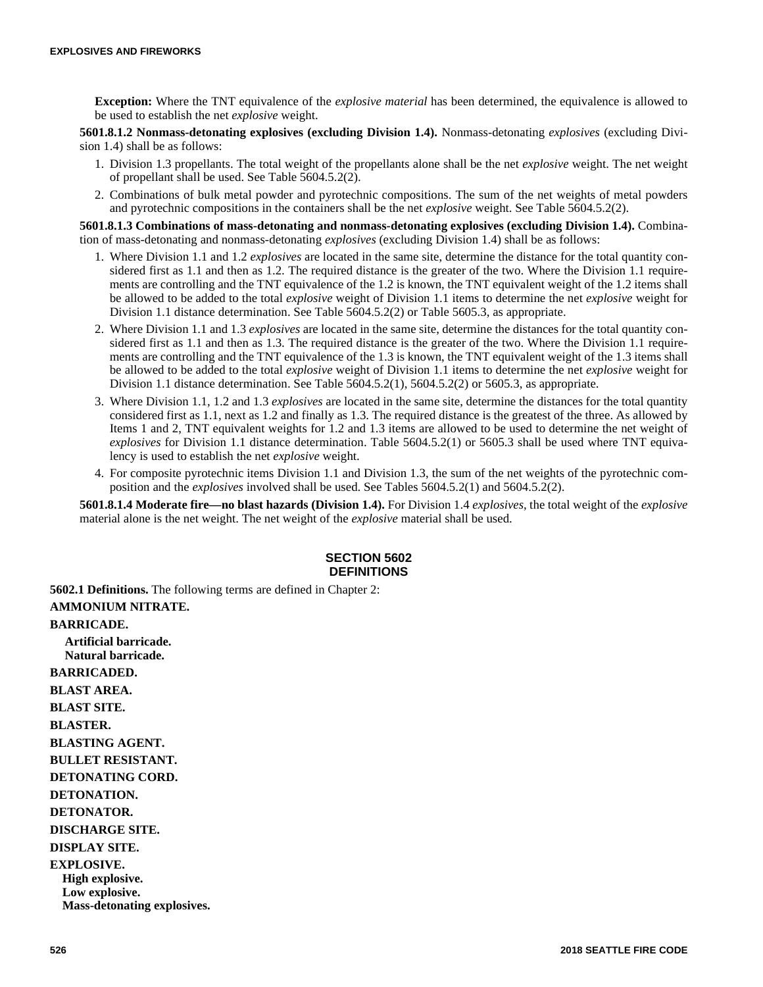**Exception:** Where the TNT equivalence of the *explosive material* has been determined, the equivalence is allowed to be used to establish the net *explosive* weight.

**5601.8.1.2 Nonmass-detonating explosives (excluding Division 1.4).** Nonmass-detonating *explosives* (excluding Division 1.4) shall be as follows:

- 1. Division 1.3 propellants. The total weight of the propellants alone shall be the net *explosive* weight. The net weight of propellant shall be used. See Table 5604.5.2(2).
- 2. Combinations of bulk metal powder and pyrotechnic compositions. The sum of the net weights of metal powders and pyrotechnic compositions in the containers shall be the net *explosive* weight. See Table 5604.5.2(2).

**5601.8.1.3 Combinations of mass-detonating and nonmass-detonating explosives (excluding Division 1.4).** Combination of mass-detonating and nonmass-detonating *explosives* (excluding Division 1.4) shall be as follows:

- 1. Where Division 1.1 and 1.2 *explosives* are located in the same site, determine the distance for the total quantity considered first as 1.1 and then as 1.2. The required distance is the greater of the two. Where the Division 1.1 requirements are controlling and the TNT equivalence of the 1.2 is known, the TNT equivalent weight of the 1.2 items shall be allowed to be added to the total *explosive* weight of Division 1.1 items to determine the net *explosive* weight for Division 1.1 distance determination. See Table 5604.5.2(2) or Table 5605.3, as appropriate.
- 2. Where Division 1.1 and 1.3 *explosives* are located in the same site, determine the distances for the total quantity considered first as 1.1 and then as 1.3. The required distance is the greater of the two. Where the Division 1.1 requirements are controlling and the TNT equivalence of the 1.3 is known, the TNT equivalent weight of the 1.3 items shall be allowed to be added to the total *explosive* weight of Division 1.1 items to determine the net *explosive* weight for Division 1.1 distance determination. See Table 5604.5.2(1), 5604.5.2(2) or 5605.3, as appropriate.
- 3. Where Division 1.1, 1.2 and 1.3 *explosives* are located in the same site, determine the distances for the total quantity considered first as 1.1, next as 1.2 and finally as 1.3. The required distance is the greatest of the three. As allowed by Items 1 and 2, TNT equivalent weights for 1.2 and 1.3 items are allowed to be used to determine the net weight of *explosives* for Division 1.1 distance determination. Table 5604.5.2(1) or 5605.3 shall be used where TNT equivalency is used to establish the net *explosive* weight.
- 4. For composite pyrotechnic items Division 1.1 and Division 1.3, the sum of the net weights of the pyrotechnic composition and the *explosives* involved shall be used. See Tables 5604.5.2(1) and 5604.5.2(2).

**5601.8.1.4 Moderate fire—no blast hazards (Division 1.4).** For Division 1.4 *explosives*, the total weight of the *explosive* material alone is the net weight. The net weight of the *explosive* material shall be used.

# **SECTION 5602 DEFINITIONS**

**5602.1 Definitions.** The following terms are defined in Chapter 2: **AMMONIUM NITRATE. BARRICADE. Artificial barricade. Natural barricade. BARRICADED. BLAST AREA. BLAST SITE. BLASTER. BLASTING AGENT. BULLET RESISTANT. DETONATING CORD. DETONATION. DETONATOR. DISCHARGE SITE. DISPLAY SITE. EXPLOSIVE. High explosive. Low explosive. Mass-detonating explosives.**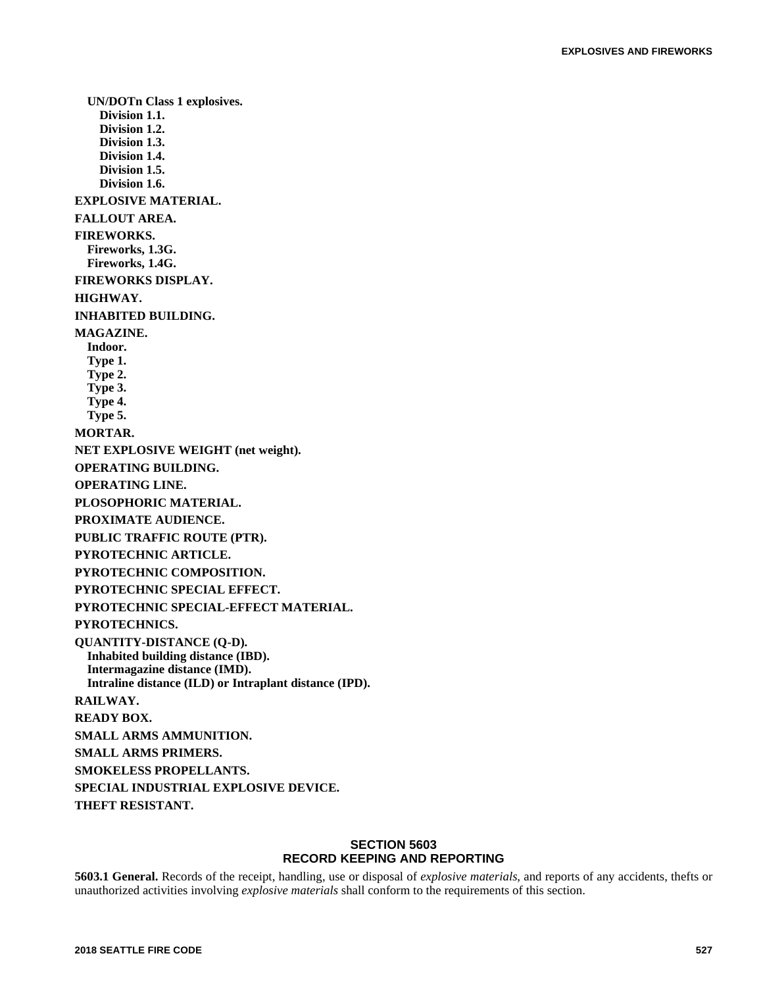**UN/DOTn Class 1 explosives. Division 1.1. Division 1.2. Division 1.3. Division 1.4. Division 1.5. Division 1.6. EXPLOSIVE MATERIAL. FALLOUT AREA. FIREWORKS. Fireworks, 1.3G. Fireworks, 1.4G. FIREWORKS DISPLAY. HIGHWAY. INHABITED BUILDING. MAGAZINE. Indoor. Type 1. Type 2. Type 3. Type 4. Type 5. MORTAR. NET EXPLOSIVE WEIGHT (net weight). OPERATING BUILDING. OPERATING LINE. PLOSOPHORIC MATERIAL. PROXIMATE AUDIENCE. PUBLIC TRAFFIC ROUTE (PTR). PYROTECHNIC ARTICLE. PYROTECHNIC COMPOSITION. PYROTECHNIC SPECIAL EFFECT. PYROTECHNIC SPECIAL-EFFECT MATERIAL. PYROTECHNICS. QUANTITY-DISTANCE (Q-D). Inhabited building distance (IBD). Intermagazine distance (IMD). Intraline distance (ILD) or Intraplant distance (IPD). RAILWAY. READY BOX. SMALL ARMS AMMUNITION. SMALL ARMS PRIMERS. SMOKELESS PROPELLANTS. SPECIAL INDUSTRIAL EXPLOSIVE DEVICE. THEFT RESISTANT.**

# **SECTION 5603 RECORD KEEPING AND REPORTING**

**5603.1 General.** Records of the receipt, handling, use or disposal of *explosive materials*, and reports of any accidents, thefts or unauthorized activities involving *explosive materials* shall conform to the requirements of this section.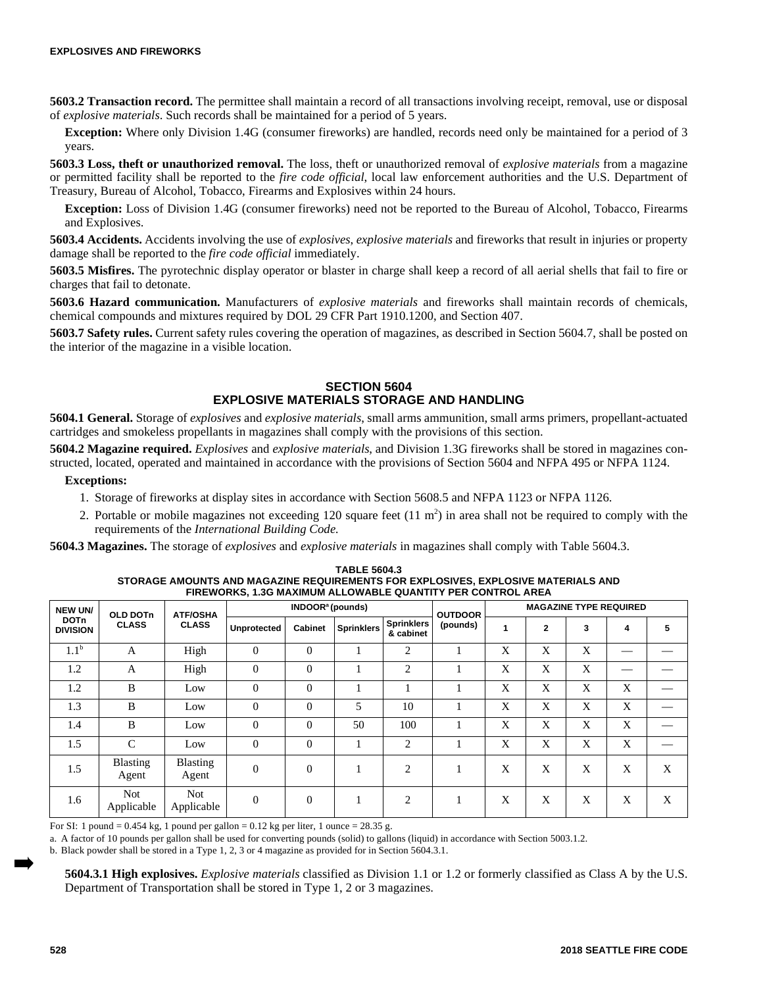**5603.2 Transaction record.** The permittee shall maintain a record of all transactions involving receipt, removal, use or disposal of *explosive materials*. Such records shall be maintained for a period of 5 years.

**Exception:** Where only Division 1.4G (consumer fireworks) are handled, records need only be maintained for a period of 3 years.

**5603.3 Loss, theft or unauthorized removal.** The loss, theft or unauthorized removal of *explosive materials* from a magazine or permitted facility shall be reported to the *fire code official*, local law enforcement authorities and the U.S. Department of Treasury, Bureau of Alcohol, Tobacco, Firearms and Explosives within 24 hours.

**Exception:** Loss of Division 1.4G (consumer fireworks) need not be reported to the Bureau of Alcohol, Tobacco, Firearms and Explosives.

**5603.4 Accidents.** Accidents involving the use of *explosives*, *explosive materials* and fireworks that result in injuries or property damage shall be reported to the *fire code official* immediately.

**5603.5 Misfires.** The pyrotechnic display operator or blaster in charge shall keep a record of all aerial shells that fail to fire or charges that fail to detonate.

**5603.6 Hazard communication.** Manufacturers of *explosive materials* and fireworks shall maintain records of chemicals, chemical compounds and mixtures required by DOL 29 CFR Part 1910.1200, and Section 407.

**5603.7 Safety rules.** Current safety rules covering the operation of magazines, as described in Section 5604.7, shall be posted on the interior of the magazine in a visible location.

# **SECTION 5604 EXPLOSIVE MATERIALS STORAGE AND HANDLING**

**5604.1 General.** Storage of *explosives* and *explosive materials*, small arms ammunition, small arms primers, propellant-actuated cartridges and smokeless propellants in magazines shall comply with the provisions of this section.

**5604.2 Magazine required.** *Explosives* and *explosive materials*, and Division 1.3G fireworks shall be stored in magazines constructed, located, operated and maintained in accordance with the provisions of Section 5604 and NFPA 495 or NFPA 1124.

# **Exceptions:**

- 1. Storage of fireworks at display sites in accordance with Section 5608.5 and NFPA 1123 or NFPA 1126.
- 2. Portable or mobile magazines not exceeding 120 square feet  $(11 \text{ m}^2)$  in area shall not be required to comply with the requirements of the *International Building Code.*

**5604.3 Magazines.** The storage of *explosives* and *explosive materials* in magazines shall comply with Table 5604.3.

| <u>TINEWONNO, 1.30 MAAIMUM ALLOWADLE QUANTITT FEN CONTNOL ANEA</u>           |                          |                              |                |          |                   |                                |          |   |              |   |   |   |
|------------------------------------------------------------------------------|--------------------------|------------------------------|----------------|----------|-------------------|--------------------------------|----------|---|--------------|---|---|---|
| <b>NEW UN/</b><br>OLD DOTn<br><b>DOTn</b><br><b>CLASS</b><br><b>DIVISION</b> | <b>ATF/OSHA</b>          | INDOOR <sup>ª</sup> (pounds) |                |          | <b>OUTDOOR</b>    | <b>MAGAZINE TYPE REQUIRED</b>  |          |   |              |   |   |   |
|                                                                              |                          | <b>CLASS</b>                 | Unprotected    | Cabinet  | <b>Sprinklers</b> | <b>Sprinklers</b><br>& cabinet | (pounds) | 1 | $\mathbf{2}$ | 3 | 4 | 5 |
| 1.1 <sup>b</sup>                                                             | A                        | High                         | $\Omega$       | $\Omega$ |                   | 2                              |          | X | X            | X |   |   |
| 1.2                                                                          | A                        | High                         | $\Omega$       | $\Omega$ |                   | 2                              |          | X | X            | X |   |   |
| 1.2                                                                          | B                        | Low                          | $\overline{0}$ | $\theta$ |                   |                                |          | X | X            | X | X |   |
| 1.3                                                                          | B                        | Low                          | $\mathbf{0}$   | $\theta$ | 5                 | 10                             |          | X | X            | X | X |   |
| 1.4                                                                          | B                        | Low                          | $\Omega$       | $\Omega$ | 50                | 100                            |          | X | X            | X | X |   |
| 1.5                                                                          | $\mathcal{C}$            | Low                          | $\Omega$       | $\Omega$ |                   | 2                              | 1        | X | X            | X | X |   |
| 1.5                                                                          | <b>Blasting</b><br>Agent | <b>Blasting</b><br>Agent     | $\Omega$       | $\Omega$ |                   | 2                              |          | X | X            | X | X | X |
| 1.6                                                                          | Not<br>Applicable        | <b>Not</b><br>Applicable     | $\mathbf{0}$   | $\theta$ |                   | 2                              |          | X | X            | X | X | X |

**TABLE 5604.3 STORAGE AMOUNTS AND MAGAZINE REQUIREMENTS FOR EXPLOSIVES, EXPLOSIVE MATERIALS AND FIREWORKS, 1.3G MAXIMUM ALLOWABLE QUANTITY PER CONTROL AREA**

For SI: 1 pound =  $0.454$  kg, 1 pound per gallon =  $0.12$  kg per liter, 1 ounce =  $28.35$  g.

a. A factor of 10 pounds per gallon shall be used for converting pounds (solid) to gallons (liquid) in accordance with Section 5003.1.2.

b. Black powder shall be stored in a Type 1, 2, 3 or 4 magazine as provided for in Section 5604.3.1.

**5604.3.1 High explosives.** *Explosive materials* classified as Division 1.1 or 1.2 or formerly classified as Class A by the U.S. Department of Transportation shall be stored in Type 1, 2 or 3 magazines.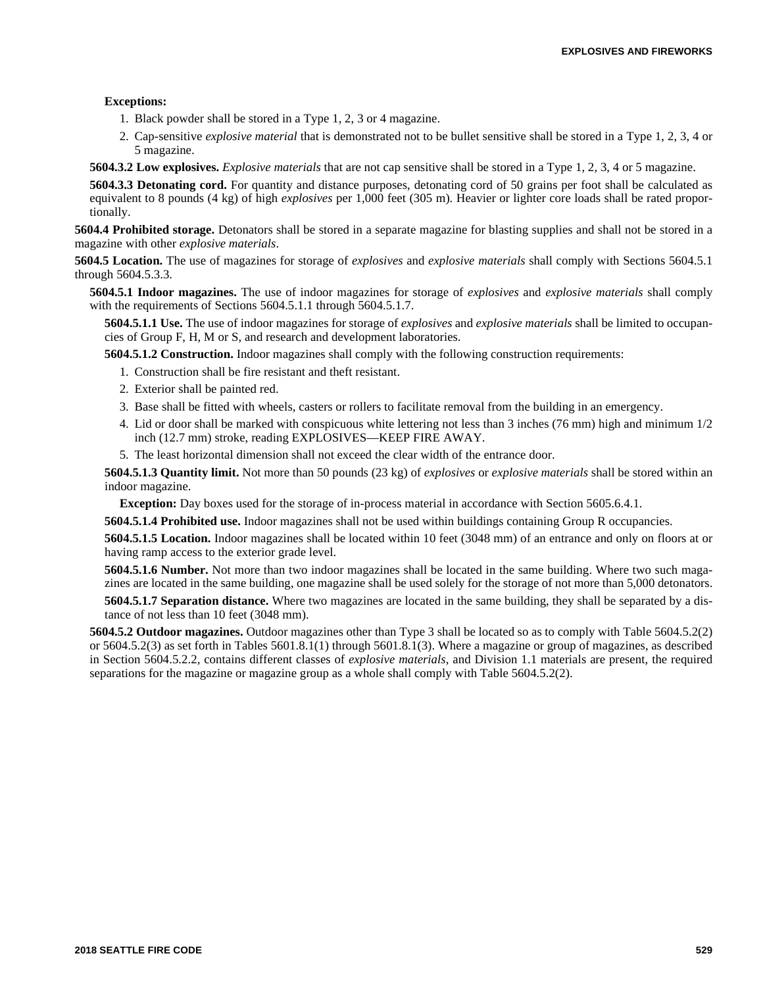#### **Exceptions:**

- 1. Black powder shall be stored in a Type 1, 2, 3 or 4 magazine.
- 2. Cap-sensitive *explosive material* that is demonstrated not to be bullet sensitive shall be stored in a Type 1, 2, 3, 4 or 5 magazine.

**5604.3.2 Low explosives.** *Explosive materials* that are not cap sensitive shall be stored in a Type 1, 2, 3, 4 or 5 magazine.

**5604.3.3 Detonating cord.** For quantity and distance purposes, detonating cord of 50 grains per foot shall be calculated as equivalent to 8 pounds (4 kg) of high *explosives* per 1,000 feet (305 m). Heavier or lighter core loads shall be rated proportionally.

**5604.4 Prohibited storage.** Detonators shall be stored in a separate magazine for blasting supplies and shall not be stored in a magazine with other *explosive materials*.

**5604.5 Location.** The use of magazines for storage of *explosives* and *explosive materials* shall comply with Sections 5604.5.1 through 5604.5.3.3.

**5604.5.1 Indoor magazines.** The use of indoor magazines for storage of *explosives* and *explosive materials* shall comply with the requirements of Sections 5604.5.1.1 through 5604.5.1.7.

**5604.5.1.1 Use.** The use of indoor magazines for storage of *explosives* and *explosive materials* shall be limited to occupancies of Group F, H, M or S, and research and development laboratories.

**5604.5.1.2 Construction.** Indoor magazines shall comply with the following construction requirements:

- 1. Construction shall be fire resistant and theft resistant.
- 2. Exterior shall be painted red.
- 3. Base shall be fitted with wheels, casters or rollers to facilitate removal from the building in an emergency.
- 4. Lid or door shall be marked with conspicuous white lettering not less than 3 inches (76 mm) high and minimum 1/2 inch (12.7 mm) stroke, reading EXPLOSIVES—KEEP FIRE AWAY.
- 5. The least horizontal dimension shall not exceed the clear width of the entrance door.

**5604.5.1.3 Quantity limit.** Not more than 50 pounds (23 kg) of *explosives* or *explosive materials* shall be stored within an indoor magazine.

**Exception:** Day boxes used for the storage of in-process material in accordance with Section 5605.6.4.1.

**5604.5.1.4 Prohibited use.** Indoor magazines shall not be used within buildings containing Group R occupancies.

**5604.5.1.5 Location.** Indoor magazines shall be located within 10 feet (3048 mm) of an entrance and only on floors at or having ramp access to the exterior grade level.

**5604.5.1.6 Number.** Not more than two indoor magazines shall be located in the same building. Where two such magazines are located in the same building, one magazine shall be used solely for the storage of not more than 5,000 detonators.

**5604.5.1.7 Separation distance.** Where two magazines are located in the same building, they shall be separated by a distance of not less than 10 feet (3048 mm).

**5604.5.2 Outdoor magazines.** Outdoor magazines other than Type 3 shall be located so as to comply with Table 5604.5.2(2) or 5604.5.2(3) as set forth in Tables 5601.8.1(1) through 5601.8.1(3). Where a magazine or group of magazines, as described in Section 5604.5.2.2, contains different classes of *explosive materials*, and Division 1.1 materials are present, the required separations for the magazine or magazine group as a whole shall comply with Table 5604.5.2(2).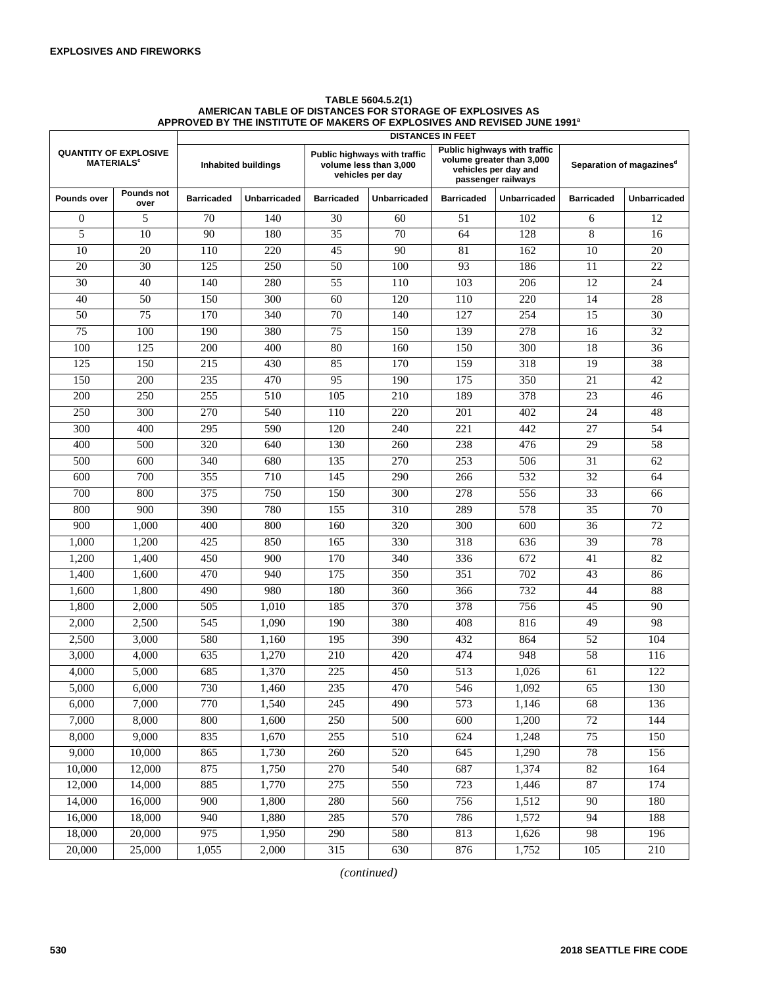#### **TABLE 5604.5.2(1) AMERICAN TABLE OF DISTANCES FOR STORAGE OF EXPLOSIVES AS APPROVED BY THE INSTITUTE OF MAKERS OF EXPLOSIVES AND REVISED JUNE 1991<sup>a</sup>**

|                                                              |                    | <b>DISTANCES IN FEET</b>   |              |                                                                            |                     |                                                                                                         |              |                                      |                     |  |
|--------------------------------------------------------------|--------------------|----------------------------|--------------|----------------------------------------------------------------------------|---------------------|---------------------------------------------------------------------------------------------------------|--------------|--------------------------------------|---------------------|--|
| <b>QUANTITY OF EXPLOSIVE</b><br><b>MATERIALS<sup>c</sup></b> |                    | <b>Inhabited buildings</b> |              | Public highways with traffic<br>volume less than 3,000<br>vehicles per day |                     | Public highways with traffic<br>volume greater than 3,000<br>vehicles per day and<br>passenger railways |              | Separation of magazines <sup>d</sup> |                     |  |
| Pounds over                                                  | Pounds not<br>over | <b>Barricaded</b>          | Unbarricaded | <b>Barricaded</b>                                                          | <b>Unbarricaded</b> | <b>Barricaded</b>                                                                                       | Unbarricaded | <b>Barricaded</b>                    | <b>Unbarricaded</b> |  |
| $\theta$                                                     | 5                  | 70                         | 140          | 30                                                                         | 60                  | 51                                                                                                      | 102          | 6                                    | 12                  |  |
| 5                                                            | 10                 | 90                         | 180          | 35                                                                         | 70                  | 64                                                                                                      | 128          | 8                                    | 16                  |  |
| 10                                                           | 20                 | 110                        | 220          | 45                                                                         | 90                  | 81                                                                                                      | 162          | 10                                   | 20                  |  |
| 20                                                           | 30                 | 125                        | 250          | 50                                                                         | 100                 | 93                                                                                                      | 186          | 11                                   | 22                  |  |
| 30                                                           | 40                 | 140                        | 280          | 55                                                                         | 110                 | 103                                                                                                     | 206          | 12                                   | 24                  |  |
| 40                                                           | 50                 | 150                        | 300          | 60                                                                         | 120                 | 110                                                                                                     | 220          | 14                                   | 28                  |  |
| 50                                                           | 75                 | 170                        | 340          | 70                                                                         | 140                 | 127                                                                                                     | 254          | 15                                   | 30                  |  |
| 75                                                           | 100                | 190                        | 380          | 75                                                                         | 150                 | 139                                                                                                     | 278          | 16                                   | $\overline{32}$     |  |
| 100                                                          | 125                | 200                        | 400          | 80                                                                         | 160                 | 150                                                                                                     | 300          | 18                                   | 36                  |  |
| 125                                                          | 150                | 215                        | 430          | 85                                                                         | 170                 | 159                                                                                                     | 318          | 19                                   | 38                  |  |
| 150                                                          | 200                | 235                        | 470          | 95                                                                         | 190                 | 175                                                                                                     | 350          | 21                                   | 42                  |  |
| 200                                                          | 250                | 255                        | 510          | 105                                                                        | 210                 | 189                                                                                                     | 378          | 23                                   | 46                  |  |
| 250                                                          | 300                | 270                        | 540          | 110                                                                        | 220                 | 201                                                                                                     | 402          | 24                                   | 48                  |  |
| 300                                                          | 400                | 295                        | 590          | 120                                                                        | 240                 | 221                                                                                                     | 442          | 27                                   | 54                  |  |
| 400                                                          | 500                | 320                        | 640          | 130                                                                        | 260                 | 238                                                                                                     | 476          | 29                                   | 58                  |  |
| 500                                                          | 600                | 340                        | 680          | 135                                                                        | 270                 | 253                                                                                                     | 506          | 31                                   | 62                  |  |
| 600                                                          | 700                | 355                        | 710          | 145                                                                        | 290                 | 266                                                                                                     | 532          | 32                                   | 64                  |  |
| 700                                                          | 800                | 375                        | 750          | 150                                                                        | 300                 | 278                                                                                                     | 556          | 33                                   | 66                  |  |
| 800                                                          | 900                | 390                        | 780          | 155                                                                        | 310                 | 289                                                                                                     | 578          | 35                                   | 70                  |  |
| 900                                                          | 1,000              | 400                        | 800          | 160                                                                        | 320                 | 300                                                                                                     | 600          | 36                                   | 72                  |  |
| 1,000                                                        | 1,200              | 425                        | 850          | 165                                                                        | 330                 | 318                                                                                                     | 636          | 39                                   | 78                  |  |
| 1,200                                                        | 1,400              | 450                        | 900          | 170                                                                        | 340                 | 336                                                                                                     | 672          | 41                                   | $\overline{82}$     |  |
| 1,400                                                        | 1,600              | 470                        | 940          | 175                                                                        | 350                 | 351                                                                                                     | 702          | 43                                   | 86                  |  |
| 1,600                                                        | 1,800              | 490                        | 980          | 180                                                                        | 360                 | 366                                                                                                     | 732          | 44                                   | 88                  |  |
| 1,800                                                        | 2,000              | 505                        | 1,010        | 185                                                                        | 370                 | 378                                                                                                     | 756          | 45                                   | 90                  |  |
| 2,000                                                        | 2,500              | 545                        | 1,090        | 190                                                                        | 380                 | 408                                                                                                     | 816          | 49                                   | 98                  |  |
| 2,500                                                        | 3,000              | 580                        | 1,160        | 195                                                                        | 390                 | 432                                                                                                     | 864          | 52                                   | 104                 |  |
| 3,000                                                        | 4,000              | 635                        | 1,270        | 210                                                                        | 420                 | 474                                                                                                     | 948          | 58                                   | 116                 |  |
| 4,000                                                        | 5,000              | 685                        | 1,370        | 225                                                                        | 450                 | 513                                                                                                     | 1,026        | 61                                   | 122                 |  |
| 5,000                                                        | 6,000              | 730                        | 1,460        | 235                                                                        | 470                 | 546                                                                                                     | 1,092        | 65                                   | 130                 |  |
| 6.000                                                        | 7,000              | 770                        | 1,540        | 245                                                                        | 490                 | 573                                                                                                     | 1,146        | 68                                   | 136                 |  |
| 7,000                                                        | 8,000              | 800                        | 1,600        | 250                                                                        | 500                 | 600                                                                                                     | 1,200        | $\overline{72}$                      | 144                 |  |
| 8,000                                                        | 9,000              | 835                        | 1,670        | 255                                                                        | 510                 | 624                                                                                                     | 1,248        | $\overline{75}$                      | 150                 |  |
| 9,000                                                        | 10,000             | 865                        | 1,730        | 260                                                                        | 520                 | 645                                                                                                     | 1,290        | 78                                   | 156                 |  |
| 10,000                                                       | 12,000             | 875                        | 1,750        | 270                                                                        | 540                 | 687                                                                                                     | 1,374        | 82                                   | 164                 |  |
| 12,000                                                       | 14,000             | 885                        | 1,770        | 275                                                                        | 550                 | 723                                                                                                     | 1,446        | 87                                   | 174                 |  |
| 14,000                                                       | 16,000             | 900                        | 1,800        | 280                                                                        | 560                 | 756                                                                                                     | 1,512        | 90                                   | 180                 |  |
| 16,000                                                       | 18,000             | 940                        | 1,880        | 285                                                                        | 570                 | 786                                                                                                     | 1,572        | 94                                   | 188                 |  |
| 18,000                                                       | 20,000             | 975                        | 1,950        | 290                                                                        | 580                 | 813                                                                                                     | 1,626        | 98                                   | 196                 |  |
| 20,000                                                       | 25,000             | 1,055                      | 2,000        | 315                                                                        | 630                 | 876                                                                                                     | 1,752        | 105                                  | 210                 |  |

*(continued)*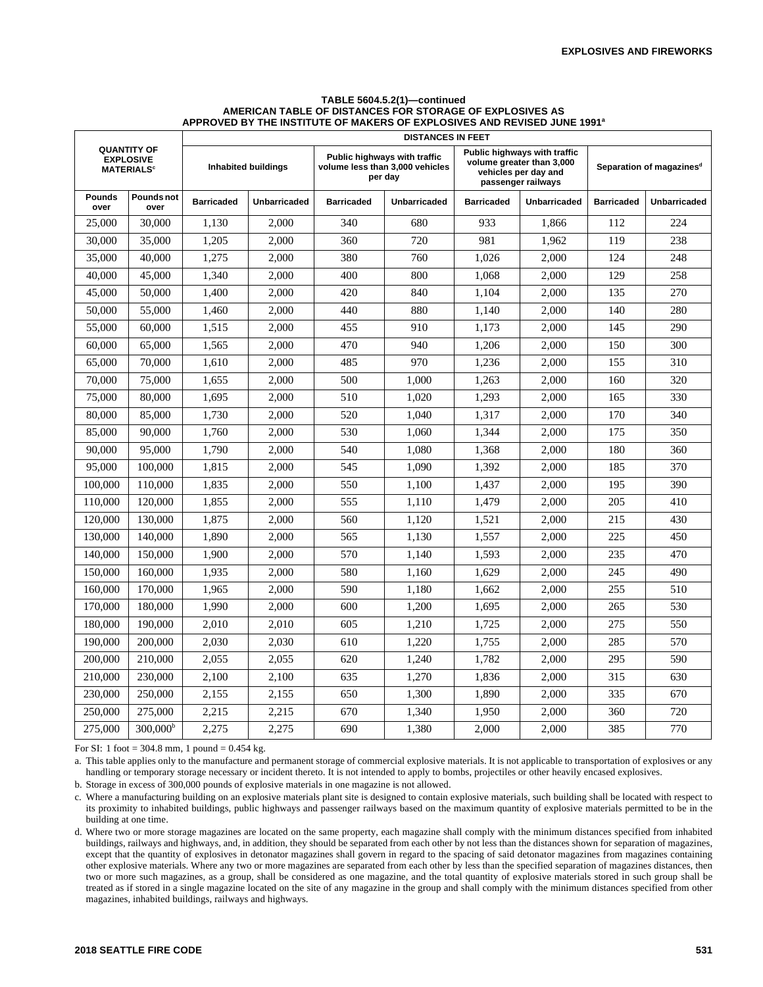#### **TABLE 5604.5.2(1)—continued AMERICAN TABLE OF DISTANCES FOR STORAGE OF EXPLOSIVES AS APPROVED BY THE INSTITUTE OF MAKERS OF EXPLOSIVES AND REVISED JUNE 1991<sup>a</sup>**

|                                                                        |                    | <b>DISTANCES IN FEET</b>   |                     |                   |                                                                            |                   |                                                                                                         |                   |                                      |  |
|------------------------------------------------------------------------|--------------------|----------------------------|---------------------|-------------------|----------------------------------------------------------------------------|-------------------|---------------------------------------------------------------------------------------------------------|-------------------|--------------------------------------|--|
| <b>QUANTITY OF</b><br><b>EXPLOSIVE</b><br><b>MATERIALS<sup>c</sup></b> |                    | <b>Inhabited buildings</b> |                     |                   | Public highways with traffic<br>volume less than 3,000 vehicles<br>per day |                   | Public highways with traffic<br>volume greater than 3,000<br>vehicles per day and<br>passenger railways |                   | Separation of magazines <sup>d</sup> |  |
| <b>Pounds</b><br>over                                                  | Pounds not<br>over | <b>Barricaded</b>          | <b>Unbarricaded</b> | <b>Barricaded</b> | <b>Unbarricaded</b>                                                        | <b>Barricaded</b> | <b>Unbarricaded</b>                                                                                     | <b>Barricaded</b> | <b>Unbarricaded</b>                  |  |
| 25,000                                                                 | 30,000             | 1.130                      | 2.000               | 340               | 680                                                                        | 933               | 1.866                                                                                                   | 112               | 224                                  |  |
| 30,000                                                                 | 35,000             | 1.205                      | 2.000               | 360               | 720                                                                        | 981               | 1.962                                                                                                   | 119               | 238                                  |  |
| 35,000                                                                 | 40,000             | 1,275                      | 2.000               | 380               | 760                                                                        | 1,026             | 2,000                                                                                                   | 124               | 248                                  |  |
| 40,000                                                                 | 45,000             | 1,340                      | 2,000               | 400               | 800                                                                        | 1,068             | 2,000                                                                                                   | 129               | 258                                  |  |
| 45,000                                                                 | 50,000             | 1.400                      | 2.000               | 420               | 840                                                                        | 1.104             | 2.000                                                                                                   | 135               | 270                                  |  |
| 50,000                                                                 | 55,000             | 1.460                      | 2.000               | 440               | 880                                                                        | 1.140             | 2.000                                                                                                   | 140               | 280                                  |  |
| 55,000                                                                 | 60,000             | 1,515                      | 2.000               | 455               | 910                                                                        | 1,173             | 2,000                                                                                                   | 145               | 290                                  |  |
| 60,000                                                                 | 65,000             | 1.565                      | 2.000               | 470               | 940                                                                        | 1,206             | 2,000                                                                                                   | 150               | 300                                  |  |
| 65,000                                                                 | 70,000             | 1.610                      | 2.000               | 485               | 970                                                                        | 1,236             | 2.000                                                                                                   | 155               | 310                                  |  |
| 70,000                                                                 | 75,000             | 1,655                      | 2,000               | 500               | 1,000                                                                      | 1,263             | 2,000                                                                                                   | 160               | 320                                  |  |
| 75,000                                                                 | 80,000             | 1,695                      | 2,000               | 510               | 1,020                                                                      | 1,293             | 2,000                                                                                                   | 165               | 330                                  |  |
| 80,000                                                                 | 85,000             | 1.730                      | 2.000               | 520               | 1.040                                                                      | 1.317             | 2,000                                                                                                   | 170               | 340                                  |  |
| 85,000                                                                 | 90,000             | 1,760                      | 2.000               | 530               | 1,060                                                                      | 1,344             | 2,000                                                                                                   | 175               | 350                                  |  |
| 90.000                                                                 | 95,000             | 1,790                      | 2,000               | 540               | 1,080                                                                      | 1,368             | 2,000                                                                                                   | 180               | 360                                  |  |
| 95,000                                                                 | 100,000            | 1,815                      | 2.000               | 545               | 1.090                                                                      | 1,392             | 2,000                                                                                                   | 185               | 370                                  |  |
| 100,000                                                                | 110,000            | 1.835                      | 2.000               | 550               | 1.100                                                                      | 1.437             | 2,000                                                                                                   | 195               | 390                                  |  |
| 110,000                                                                | 120,000            | 1,855                      | 2,000               | 555               | 1,110                                                                      | 1,479             | 2,000                                                                                                   | 205               | 410                                  |  |
| 120,000                                                                | 130,000            | 1,875                      | 2.000               | 560               | 1,120                                                                      | 1,521             | 2.000                                                                                                   | 215               | 430                                  |  |
| 130,000                                                                | 140,000            | 1.890                      | 2.000               | 565               | 1,130                                                                      | 1,557             | 2.000                                                                                                   | 225               | 450                                  |  |
| 140,000                                                                | 150,000            | 1,900                      | 2,000               | 570               | 1,140                                                                      | 1,593             | 2,000                                                                                                   | 235               | 470                                  |  |
| 150,000                                                                | 160,000            | 1,935                      | 2,000               | 580               | 1,160                                                                      | 1,629             | 2,000                                                                                                   | 245               | 490                                  |  |
| 160,000                                                                | 170,000            | 1,965                      | 2.000               | 590               | 1.180                                                                      | 1.662             | 2,000                                                                                                   | 255               | 510                                  |  |
| 170,000                                                                | 180,000            | 1.990                      | 2.000               | 600               | 1.200                                                                      | 1.695             | 2,000                                                                                                   | 265               | 530                                  |  |
| 180,000                                                                | 190,000            | 2,010                      | 2,010               | 605               | 1,210                                                                      | 1,725             | 2,000                                                                                                   | 275               | 550                                  |  |
| 190,000                                                                | 200,000            | 2,030                      | 2,030               | 610               | 1,220                                                                      | 1,755             | 2,000                                                                                                   | 285               | 570                                  |  |
| 200,000                                                                | 210,000            | 2.055                      | 2.055               | 620               | 1,240                                                                      | 1.782             | 2.000                                                                                                   | 295               | 590                                  |  |
| 210,000                                                                | 230,000            | 2,100                      | 2,100               | 635               | 1,270                                                                      | 1,836             | 2,000                                                                                                   | 315               | 630                                  |  |
| 230,000                                                                | 250,000            | 2,155                      | 2,155               | 650               | 1,300                                                                      | 1.890             | 2,000                                                                                                   | 335               | 670                                  |  |
| 250,000                                                                | 275,000            | 2,215                      | 2,215               | 670               | 1,340                                                                      | 1,950             | 2,000                                                                                                   | 360               | 720                                  |  |
| 275,000                                                                | $300,000^{\circ}$  | 2.275                      | 2.275               | 690               | 1.380                                                                      | 2.000             | 2.000                                                                                                   | 385               | 770                                  |  |

For SI: 1 foot =  $304.8$  mm, 1 pound =  $0.454$  kg.

a. This table applies only to the manufacture and permanent storage of commercial explosive materials. It is not applicable to transportation of explosives or any handling or temporary storage necessary or incident thereto. It is not intended to apply to bombs, projectiles or other heavily encased explosives.

b. Storage in excess of 300,000 pounds of explosive materials in one magazine is not allowed.

c. Where a manufacturing building on an explosive materials plant site is designed to contain explosive materials, such building shall be located with respect to its proximity to inhabited buildings, public highways and passenger railways based on the maximum quantity of explosive materials permitted to be in the building at one time.

d. Where two or more storage magazines are located on the same property, each magazine shall comply with the minimum distances specified from inhabited buildings, railways and highways, and, in addition, they should be separated from each other by not less than the distances shown for separation of magazines, except that the quantity of explosives in detonator magazines shall govern in regard to the spacing of said detonator magazines from magazines containing other explosive materials. Where any two or more magazines are separated from each other by less than the specified separation of magazines distances, then two or more such magazines, as a group, shall be considered as one magazine, and the total quantity of explosive materials stored in such group shall be treated as if stored in a single magazine located on the site of any magazine in the group and shall comply with the minimum distances specified from other magazines, inhabited buildings, railways and highways.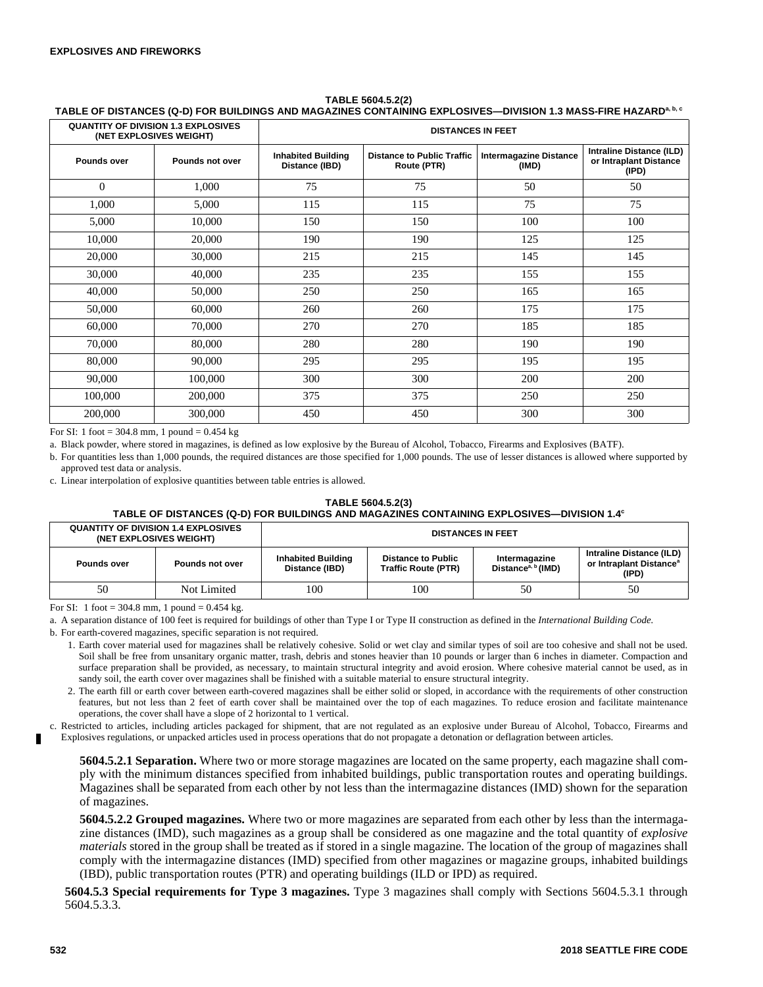#### **TABLE 5604.5.2(2)**

#### **TABLE OF DISTANCES (Q-D) FOR BUILDINGS AND MAGAZINES CONTAINING EXPLOSIVES—DIVISION 1.3 MASS-FIRE HAZARDa, b, c**

|              | <b>QUANTITY OF DIVISION 1.3 EXPLOSIVES</b><br>(NET EXPLOSIVES WEIGHT) | <b>DISTANCES IN FEET</b>                    |                                                  |                                        |                                                                    |  |  |
|--------------|-----------------------------------------------------------------------|---------------------------------------------|--------------------------------------------------|----------------------------------------|--------------------------------------------------------------------|--|--|
| Pounds over  | Pounds not over                                                       | <b>Inhabited Building</b><br>Distance (IBD) | <b>Distance to Public Traffic</b><br>Route (PTR) | <b>Intermagazine Distance</b><br>(IMD) | <b>Intraline Distance (ILD)</b><br>or Intraplant Distance<br>(IPD) |  |  |
| $\mathbf{0}$ | 1,000                                                                 | 75                                          | 75                                               | 50                                     | 50                                                                 |  |  |
| 1,000        | 5,000                                                                 | 115                                         | 115                                              | 75                                     | 75                                                                 |  |  |
| 5,000        | 10,000                                                                | 150                                         | 150                                              | 100                                    | 100                                                                |  |  |
| 10,000       | 20,000                                                                | 190                                         | 190                                              | 125                                    | 125                                                                |  |  |
| 20,000       | 30,000                                                                | 215                                         | 215                                              | 145                                    | 145                                                                |  |  |
| 30,000       | 40,000                                                                | 235                                         | 235                                              | 155                                    | 155                                                                |  |  |
| 40,000       | 50,000                                                                | 250                                         | 250                                              | 165                                    | 165                                                                |  |  |
| 50,000       | 60,000                                                                | 260                                         | 260                                              | 175                                    | 175                                                                |  |  |
| 60,000       | 70,000                                                                | 270                                         | 270                                              | 185                                    | 185                                                                |  |  |
| 70,000       | 80,000                                                                | 280                                         | 280                                              | 190                                    | 190                                                                |  |  |
| 80,000       | 90,000                                                                | 295                                         | 295                                              | 195                                    | 195                                                                |  |  |
| 90,000       | 100,000                                                               | 300                                         | 300                                              | 200                                    | 200                                                                |  |  |
| 100,000      | 200,000                                                               | 375                                         | 375                                              | 250                                    | 250                                                                |  |  |
| 200,000      | 300,000                                                               | 450                                         | 450                                              | 300                                    | 300                                                                |  |  |

For SI: 1 foot =  $304.8$  mm, 1 pound =  $0.454$  kg

a. Black powder, where stored in magazines, is defined as low explosive by the Bureau of Alcohol, Tobacco, Firearms and Explosives (BATF).

b. For quantities less than 1,000 pounds, the required distances are those specified for 1,000 pounds. The use of lesser distances is allowed where supported by approved test data or analysis.

c. Linear interpolation of explosive quantities between table entries is allowed.

**TABLE 5604.5.2(3)**

# **TABLE OF DISTANCES (Q-D) FOR BUILDINGS AND MAGAZINES CONTAINING EXPLOSIVES—DIVISION 1.4<sup>c</sup>**

|             | <b>QUANTITY OF DIVISION 1.4 EXPLOSIVES</b><br>(NET EXPLOSIVES WEIGHT) |                                             |                                                         |                                                 |                                                                          |
|-------------|-----------------------------------------------------------------------|---------------------------------------------|---------------------------------------------------------|-------------------------------------------------|--------------------------------------------------------------------------|
| Pounds over | Pounds not over                                                       | <b>Inhabited Building</b><br>Distance (IBD) | <b>Distance to Public</b><br><b>Traffic Route (PTR)</b> | Intermagazine<br>Distance <sup>a, b</sup> (IMD) | Intraline Distance (ILD)<br>or Intraplant Distance <sup>a</sup><br>(IPD) |
| 50          | Not Limited                                                           | 100                                         | 100                                                     | 50                                              | 50                                                                       |

For SI:  $1$  foot = 304.8 mm, 1 pound = 0.454 kg.

a. A separation distance of 100 feet is required for buildings of other than Type I or Type II construction as defined in the *International Building Code.*

b. For earth-covered magazines, specific separation is not required.

1. Earth cover material used for magazines shall be relatively cohesive. Solid or wet clay and similar types of soil are too cohesive and shall not be used. Soil shall be free from unsanitary organic matter, trash, debris and stones heavier than 10 pounds or larger than 6 inches in diameter. Compaction and surface preparation shall be provided, as necessary, to maintain structural integrity and avoid erosion. Where cohesive material cannot be used, as in sandy soil, the earth cover over magazines shall be finished with a suitable material to ensure structural integrity.

2. The earth fill or earth cover between earth-covered magazines shall be either solid or sloped, in accordance with the requirements of other construction features, but not less than 2 feet of earth cover shall be maintained over the top of each magazines. To reduce erosion and facilitate maintenance operations, the cover shall have a slope of 2 horizontal to 1 vertical.

c. Restricted to articles, including articles packaged for shipment, that are not regulated as an explosive under Bureau of Alcohol, Tobacco, Firearms and

Explosives regulations, or unpacked articles used in process operations that do not propagate a detonation or deflagration between articles.

**5604.5.2.1 Separation.** Where two or more storage magazines are located on the same property, each magazine shall comply with the minimum distances specified from inhabited buildings, public transportation routes and operating buildings. Magazines shall be separated from each other by not less than the intermagazine distances (IMD) shown for the separation of magazines.

**5604.5.2.2 Grouped magazines.** Where two or more magazines are separated from each other by less than the intermagazine distances (IMD), such magazines as a group shall be considered as one magazine and the total quantity of *explosive materials* stored in the group shall be treated as if stored in a single magazine. The location of the group of magazines shall comply with the intermagazine distances (IMD) specified from other magazines or magazine groups, inhabited buildings (IBD), public transportation routes (PTR) and operating buildings (ILD or IPD) as required.

**5604.5.3 Special requirements for Type 3 magazines.** Type 3 magazines shall comply with Sections 5604.5.3.1 through 5604.5.3.3.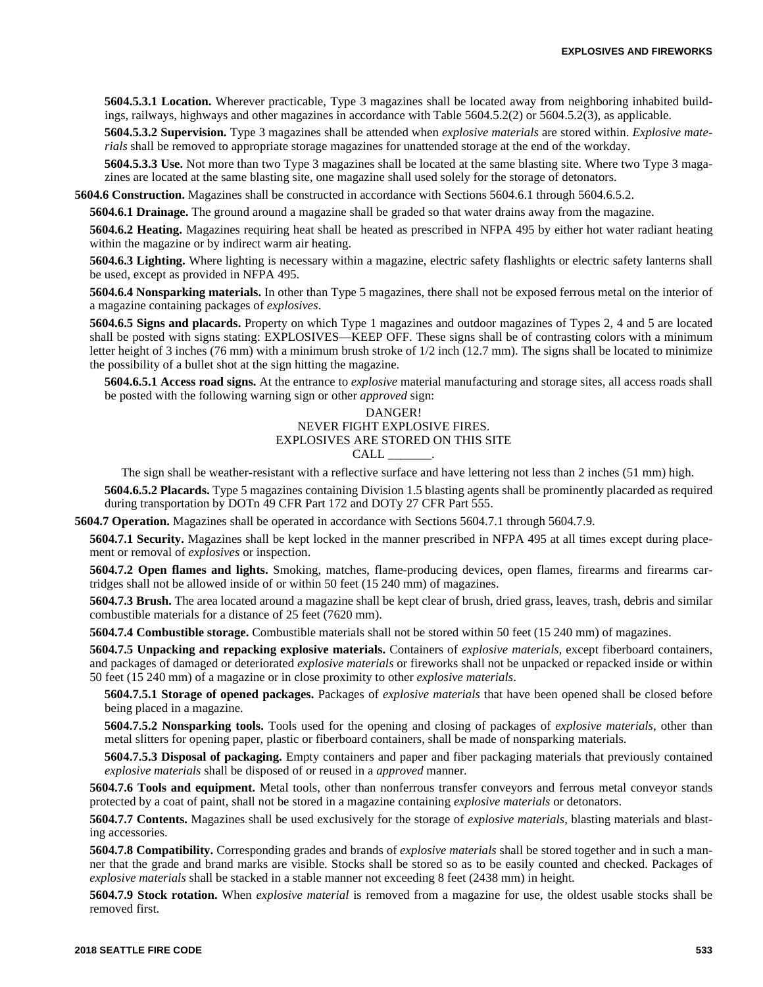**5604.5.3.1 Location.** Wherever practicable, Type 3 magazines shall be located away from neighboring inhabited buildings, railways, highways and other magazines in accordance with Table 5604.5.2(2) or 5604.5.2(3), as applicable.

**5604.5.3.2 Supervision.** Type 3 magazines shall be attended when *explosive materials* are stored within. *Explosive materials* shall be removed to appropriate storage magazines for unattended storage at the end of the workday.

**5604.5.3.3 Use.** Not more than two Type 3 magazines shall be located at the same blasting site. Where two Type 3 magazines are located at the same blasting site, one magazine shall used solely for the storage of detonators.

**5604.6 Construction.** Magazines shall be constructed in accordance with Sections 5604.6.1 through 5604.6.5.2.

**5604.6.1 Drainage.** The ground around a magazine shall be graded so that water drains away from the magazine.

**5604.6.2 Heating.** Magazines requiring heat shall be heated as prescribed in NFPA 495 by either hot water radiant heating within the magazine or by indirect warm air heating.

**5604.6.3 Lighting.** Where lighting is necessary within a magazine, electric safety flashlights or electric safety lanterns shall be used, except as provided in NFPA 495.

**5604.6.4 Nonsparking materials.** In other than Type 5 magazines, there shall not be exposed ferrous metal on the interior of a magazine containing packages of *explosives*.

**5604.6.5 Signs and placards.** Property on which Type 1 magazines and outdoor magazines of Types 2, 4 and 5 are located shall be posted with signs stating: EXPLOSIVES—KEEP OFF. These signs shall be of contrasting colors with a minimum letter height of 3 inches (76 mm) with a minimum brush stroke of 1/2 inch (12.7 mm). The signs shall be located to minimize the possibility of a bullet shot at the sign hitting the magazine.

**5604.6.5.1 Access road signs.** At the entrance to *explosive* material manufacturing and storage sites, all access roads shall be posted with the following warning sign or other *approved* sign:

# DANGER! NEVER FIGHT EXPLOSIVE FIRES. EXPLOSIVES ARE STORED ON THIS SITE  $CALL$

The sign shall be weather-resistant with a reflective surface and have lettering not less than 2 inches (51 mm) high.

**5604.6.5.2 Placards.** Type 5 magazines containing Division 1.5 blasting agents shall be prominently placarded as required during transportation by DOTn 49 CFR Part 172 and DOTy 27 CFR Part 555.

**5604.7 Operation.** Magazines shall be operated in accordance with Sections 5604.7.1 through 5604.7.9.

**5604.7.1 Security.** Magazines shall be kept locked in the manner prescribed in NFPA 495 at all times except during placement or removal of *explosives* or inspection.

**5604.7.2 Open flames and lights.** Smoking, matches, flame-producing devices, open flames, firearms and firearms cartridges shall not be allowed inside of or within 50 feet (15 240 mm) of magazines.

**5604.7.3 Brush.** The area located around a magazine shall be kept clear of brush, dried grass, leaves, trash, debris and similar combustible materials for a distance of 25 feet (7620 mm).

**5604.7.4 Combustible storage.** Combustible materials shall not be stored within 50 feet (15 240 mm) of magazines.

**5604.7.5 Unpacking and repacking explosive materials.** Containers of *explosive materials*, except fiberboard containers, and packages of damaged or deteriorated *explosive materials* or fireworks shall not be unpacked or repacked inside or within 50 feet (15 240 mm) of a magazine or in close proximity to other *explosive materials*.

**5604.7.5.1 Storage of opened packages.** Packages of *explosive materials* that have been opened shall be closed before being placed in a magazine.

**5604.7.5.2 Nonsparking tools.** Tools used for the opening and closing of packages of *explosive materials*, other than metal slitters for opening paper, plastic or fiberboard containers, shall be made of nonsparking materials.

**5604.7.5.3 Disposal of packaging.** Empty containers and paper and fiber packaging materials that previously contained *explosive materials* shall be disposed of or reused in a *approved* manner.

**5604.7.6 Tools and equipment.** Metal tools, other than nonferrous transfer conveyors and ferrous metal conveyor stands protected by a coat of paint, shall not be stored in a magazine containing *explosive materials* or detonators.

**5604.7.7 Contents.** Magazines shall be used exclusively for the storage of *explosive materials*, blasting materials and blasting accessories.

**5604.7.8 Compatibility.** Corresponding grades and brands of *explosive materials* shall be stored together and in such a manner that the grade and brand marks are visible. Stocks shall be stored so as to be easily counted and checked. Packages of *explosive materials* shall be stacked in a stable manner not exceeding 8 feet (2438 mm) in height.

**5604.7.9 Stock rotation.** When *explosive material* is removed from a magazine for use, the oldest usable stocks shall be removed first.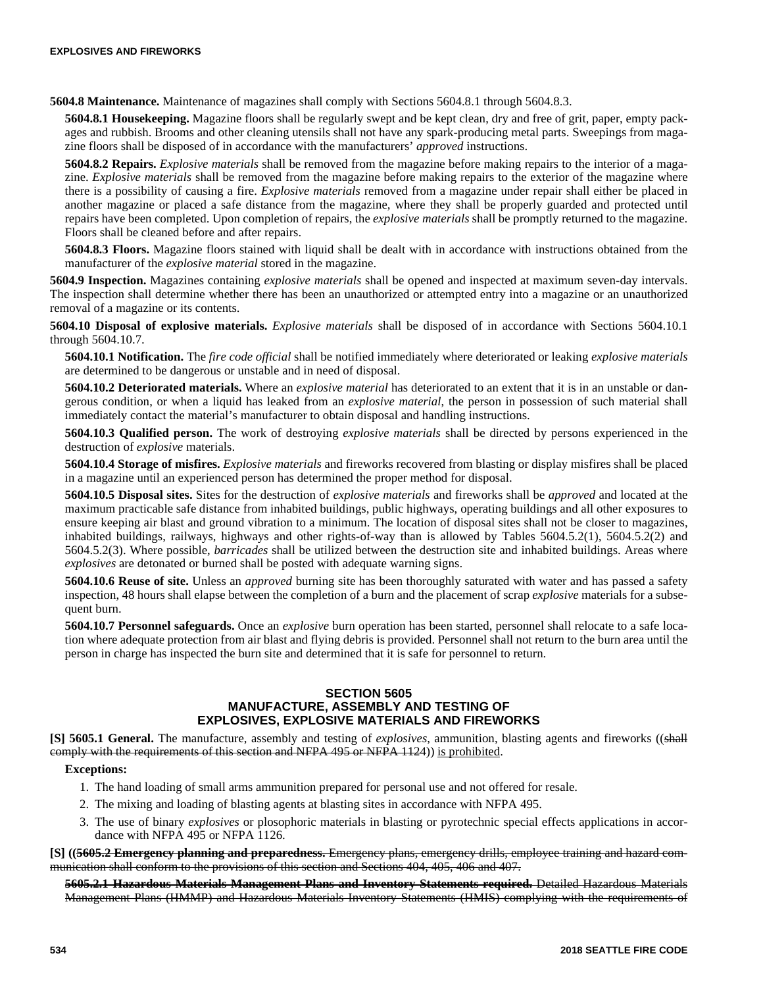**5604.8 Maintenance.** Maintenance of magazines shall comply with Sections 5604.8.1 through 5604.8.3.

**5604.8.1 Housekeeping.** Magazine floors shall be regularly swept and be kept clean, dry and free of grit, paper, empty packages and rubbish. Brooms and other cleaning utensils shall not have any spark-producing metal parts. Sweepings from magazine floors shall be disposed of in accordance with the manufacturers' *approved* instructions.

**5604.8.2 Repairs.** *Explosive materials* shall be removed from the magazine before making repairs to the interior of a magazine. *Explosive materials* shall be removed from the magazine before making repairs to the exterior of the magazine where there is a possibility of causing a fire. *Explosive materials* removed from a magazine under repair shall either be placed in another magazine or placed a safe distance from the magazine, where they shall be properly guarded and protected until repairs have been completed. Upon completion of repairs, the *explosive materials* shall be promptly returned to the magazine. Floors shall be cleaned before and after repairs.

**5604.8.3 Floors.** Magazine floors stained with liquid shall be dealt with in accordance with instructions obtained from the manufacturer of the *explosive material* stored in the magazine.

**5604.9 Inspection.** Magazines containing *explosive materials* shall be opened and inspected at maximum seven-day intervals. The inspection shall determine whether there has been an unauthorized or attempted entry into a magazine or an unauthorized removal of a magazine or its contents.

**5604.10 Disposal of explosive materials.** *Explosive materials* shall be disposed of in accordance with Sections 5604.10.1 through 5604.10.7.

**5604.10.1 Notification.** The *fire code official* shall be notified immediately where deteriorated or leaking *explosive materials* are determined to be dangerous or unstable and in need of disposal.

**5604.10.2 Deteriorated materials.** Where an *explosive material* has deteriorated to an extent that it is in an unstable or dangerous condition, or when a liquid has leaked from an *explosive material*, the person in possession of such material shall immediately contact the material's manufacturer to obtain disposal and handling instructions.

**5604.10.3 Qualified person.** The work of destroying *explosive materials* shall be directed by persons experienced in the destruction of *explosive* materials.

**5604.10.4 Storage of misfires.** *Explosive materials* and fireworks recovered from blasting or display misfires shall be placed in a magazine until an experienced person has determined the proper method for disposal.

**5604.10.5 Disposal sites.** Sites for the destruction of *explosive materials* and fireworks shall be *approved* and located at the maximum practicable safe distance from inhabited buildings, public highways, operating buildings and all other exposures to ensure keeping air blast and ground vibration to a minimum. The location of disposal sites shall not be closer to magazines, inhabited buildings, railways, highways and other rights-of-way than is allowed by Tables 5604.5.2(1), 5604.5.2(2) and 5604.5.2(3). Where possible, *barricades* shall be utilized between the destruction site and inhabited buildings. Areas where *explosives* are detonated or burned shall be posted with adequate warning signs.

**5604.10.6 Reuse of site.** Unless an *approved* burning site has been thoroughly saturated with water and has passed a safety inspection, 48 hours shall elapse between the completion of a burn and the placement of scrap *explosive* materials for a subsequent burn.

**5604.10.7 Personnel safeguards.** Once an *explosive* burn operation has been started, personnel shall relocate to a safe location where adequate protection from air blast and flying debris is provided. Personnel shall not return to the burn area until the person in charge has inspected the burn site and determined that it is safe for personnel to return.

# **SECTION 5605 MANUFACTURE, ASSEMBLY AND TESTING OF EXPLOSIVES, EXPLOSIVE MATERIALS AND FIREWORKS**

**[S] 5605.1 General.** The manufacture, assembly and testing of *explosives*, ammunition, blasting agents and fireworks ((shall comply with the requirements of this section and NFPA 495 or NFPA 1124)) is prohibited.

# **Exceptions:**

- 1. The hand loading of small arms ammunition prepared for personal use and not offered for resale.
- 2. The mixing and loading of blasting agents at blasting sites in accordance with NFPA 495.
- 3. The use of binary *explosives* or plosophoric materials in blasting or pyrotechnic special effects applications in accordance with NFPA 495 or NFPA 1126.

**[S] ((5605.2 Emergency planning and preparedness.** Emergency plans, emergency drills, employee training and hazard communication shall conform to the provisions of this section and Sections 404, 405, 406 and 407.

**5605.2.1 Hazardous Materials Management Plans and Inventory Statements required.** Detailed Hazardous Materials Management Plans (HMMP) and Hazardous Materials Inventory Statements (HMIS) complying with the requirements of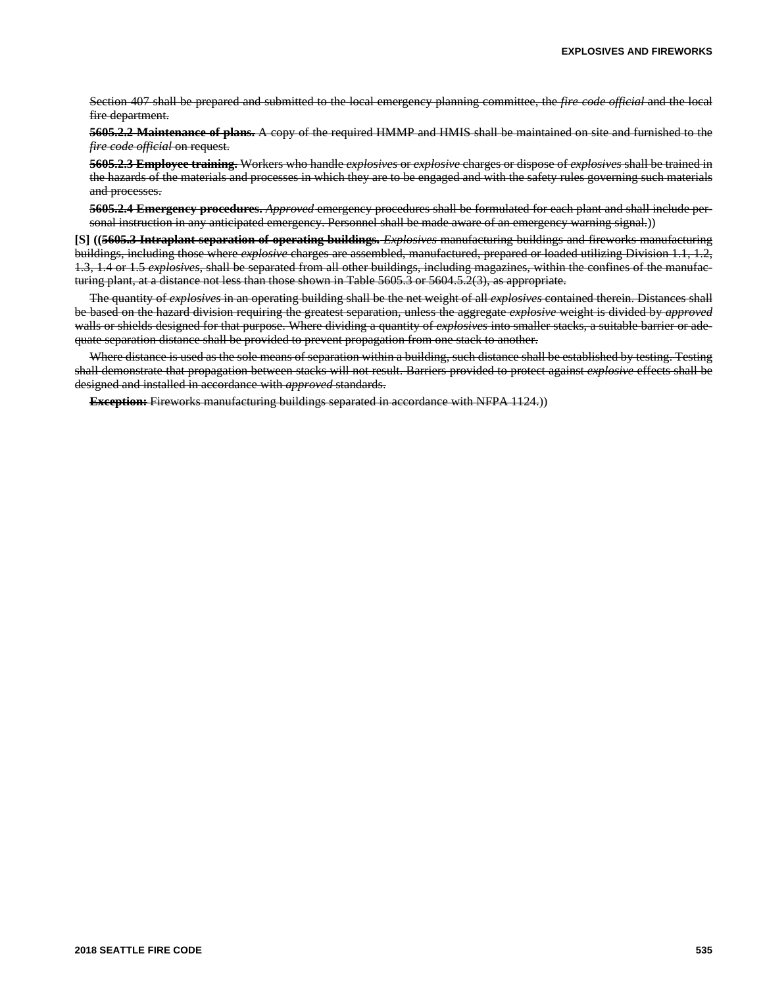Section 407 shall be prepared and submitted to the local emergency planning committee, the *fire code official* and the local fire department.

**5605.2.2 Maintenance of plans.** A copy of the required HMMP and HMIS shall be maintained on site and furnished to the *fire code official* on request.

**5605.2.3 Employee training.** Workers who handle *explosives* or *explosive* charges or dispose of *explosives* shall be trained in the hazards of the materials and processes in which they are to be engaged and with the safety rules governing such materials and processes.

**5605.2.4 Emergency procedures.** *Approved* emergency procedures shall be formulated for each plant and shall include personal instruction in any anticipated emergency. Personnel shall be made aware of an emergency warning signal.))

**[S] ((5605.3 Intraplant separation of operating buildings.** *Explosives* manufacturing buildings and fireworks manufacturing buildings, including those where *explosive* charges are assembled, manufactured, prepared or loaded utilizing Division 1.1, 1.2, 1.3, 1.4 or 1.5 *explosives*, shall be separated from all other buildings, including magazines, within the confines of the manufacturing plant, at a distance not less than those shown in Table 5605.3 or 5604.5.2(3), as appropriate.

The quantity of *explosives* in an operating building shall be the net weight of all *explosives* contained therein. Distances shall be based on the hazard division requiring the greatest separation, unless the aggregate *explosive* weight is divided by *approved* walls or shields designed for that purpose. Where dividing a quantity of *explosives* into smaller stacks, a suitable barrier or adequate separation distance shall be provided to prevent propagation from one stack to another.

Where distance is used as the sole means of separation within a building, such distance shall be established by testing. Testing shall demonstrate that propagation between stacks will not result. Barriers provided to protect against *explosive* effects shall be designed and installed in accordance with *approved* standards.

**Exception:** Fireworks manufacturing buildings separated in accordance with NFPA 1124.)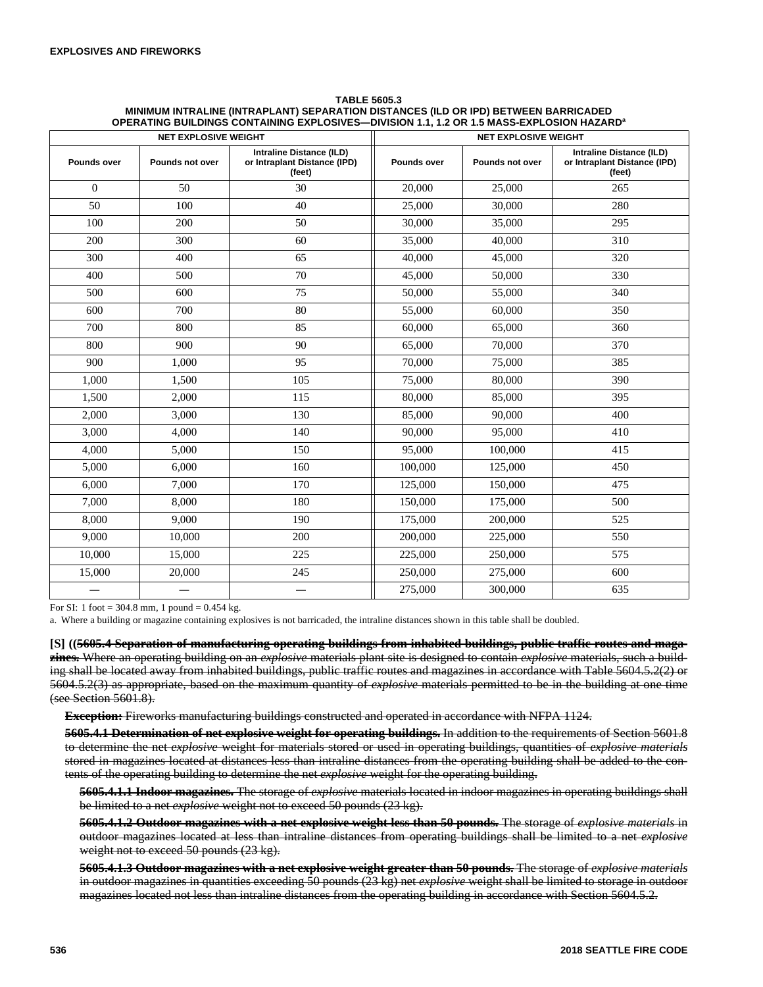|                          | <b>NET EXPLOSIVE WEIGHT</b> |                                                                    | <b>NET EXPLOSIVE WEIGHT</b> |                 |                                                                    |  |  |
|--------------------------|-----------------------------|--------------------------------------------------------------------|-----------------------------|-----------------|--------------------------------------------------------------------|--|--|
| Pounds over              | Pounds not over             | Intraline Distance (ILD)<br>or Intraplant Distance (IPD)<br>(feet) | Pounds over                 | Pounds not over | Intraline Distance (ILD)<br>or Intraplant Distance (IPD)<br>(feet) |  |  |
| $\theta$                 | 50                          | 30                                                                 | 20,000                      | 25,000          | 265                                                                |  |  |
| 50                       | 100                         | 40                                                                 | 25,000                      | 30,000          | 280                                                                |  |  |
| 100                      | 200                         | 50                                                                 | 30,000                      | 35,000          | 295                                                                |  |  |
| 200                      | 300                         | 60                                                                 | 35,000                      | 40,000          | 310                                                                |  |  |
| 300                      | 400                         | 65                                                                 | 40,000                      | 45,000          | 320                                                                |  |  |
| 400                      | 500                         | 70                                                                 | 45,000                      | 50,000          | 330                                                                |  |  |
| 500                      | 600                         | 75                                                                 | 50,000                      | 55,000          | 340                                                                |  |  |
| 600                      | 700                         | 80                                                                 | 55,000                      | 60,000          | 350                                                                |  |  |
| 700                      | 800                         | 85                                                                 | 60,000                      | 65,000          | 360                                                                |  |  |
| 800                      | 900                         | 90                                                                 | 65,000                      | 70,000          | 370                                                                |  |  |
| 900                      | 1,000                       | 95                                                                 | 70,000                      | 75,000          | 385                                                                |  |  |
| 1,000                    | 1,500                       | 105                                                                | 75,000                      | 80,000          | 390                                                                |  |  |
| 1,500                    | 2,000                       | 115                                                                | 80,000                      | 85,000          | 395                                                                |  |  |
| 2,000                    | 3,000                       | 130                                                                | 85,000                      | 90,000          | 400                                                                |  |  |
| 3,000                    | 4,000                       | 140                                                                | 90.000                      | 95,000          | 410                                                                |  |  |
| 4,000                    | 5,000                       | 150                                                                | 95,000                      | 100,000         | 415                                                                |  |  |
| 5,000                    | 6.000                       | 160                                                                | 100,000                     | 125,000         | 450                                                                |  |  |
| 6,000                    | 7,000                       | 170                                                                | 125,000                     | 150,000         | 475                                                                |  |  |
| 7,000                    | 8,000                       | 180                                                                | 150,000                     | 175,000         | 500                                                                |  |  |
| 8,000                    | 9.000                       | 190                                                                | 175,000                     | 200,000         | 525                                                                |  |  |
| 9,000                    | 10,000                      | 200                                                                | 200,000                     | 225,000         | 550                                                                |  |  |
| 10,000                   | 15,000                      | 225                                                                | 225,000                     | 250,000         | 575                                                                |  |  |
| 15,000                   | 20,000                      | 245                                                                | 250,000                     | 275,000         | 600                                                                |  |  |
| $\overline{\phantom{0}}$ | —                           | $\overline{\phantom{0}}$                                           | 275,000                     | 300,000         | 635                                                                |  |  |

#### **TABLE 5605.3 MINIMUM INTRALINE (INTRAPLANT) SEPARATION DISTANCES (ILD OR IPD) BETWEEN BARRICADED OPERATING BUILDINGS CONTAINING EXPLOSIVES—DIVISION 1.1, 1.2 OR 1.5 MASS-EXPLOSION HAZARD<sup>a</sup>**

For SI: 1 foot =  $304.8$  mm, 1 pound =  $0.454$  kg.

a. Where a building or magazine containing explosives is not barricaded, the intraline distances shown in this table shall be doubled.

**[S] ((5605.4 Separation of manufacturing operating buildings from inhabited buildings, public traffic routes and magazines.** Where an operating building on an *explosive* materials plant site is designed to contain *explosive* materials, such a building shall be located away from inhabited buildings, public traffic routes and magazines in accordance with Table 5604.5.2(2) or 5604.5.2(3) as appropriate, based on the maximum quantity of *explosive* materials permitted to be in the building at one time (see Section 5601.8).

**Exception:** Fireworks manufacturing buildings constructed and operated in accordance with NFPA 1124.

**5605.4.1 Determination of net explosive weight for operating buildings.** In addition to the requirements of Section 5601.8 to determine the net *explosive* weight for materials stored or used in operating buildings, quantities of *explosive materials* stored in magazines located at distances less than intraline distances from the operating building shall be added to the contents of the operating building to determine the net *explosive* weight for the operating building.

**5605.4.1.1 Indoor magazines.** The storage of *explosive* materials located in indoor magazines in operating buildings shall be limited to a net *explosive* weight not to exceed 50 pounds (23 kg).

**5605.4.1.2 Outdoor magazines with a net explosive weight less than 50 pounds.** The storage of *explosive materials* in outdoor magazines located at less than intraline distances from operating buildings shall be limited to a net *explosive* weight not to exceed 50 pounds (23 kg).

**5605.4.1.3 Outdoor magazines with a net explosive weight greater than 50 pounds.** The storage of *explosive materials* in outdoor magazines in quantities exceeding 50 pounds (23 kg) net *explosive* weight shall be limited to storage in outdoor magazines located not less than intraline distances from the operating building in accordance with Section 5604.5.2.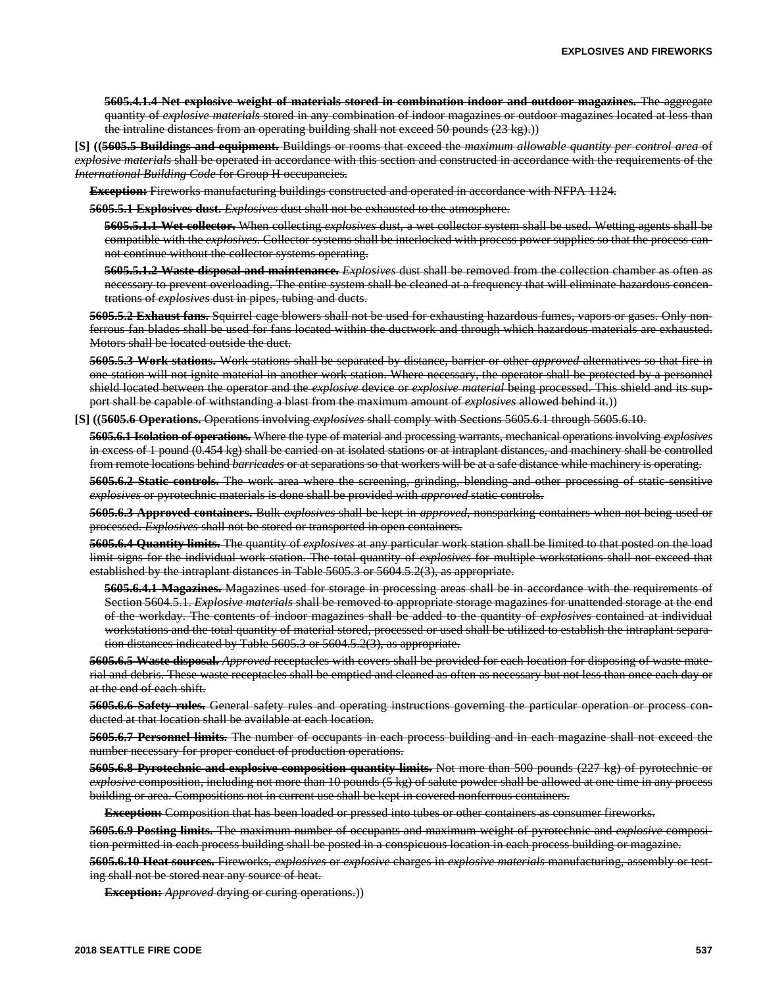**5605.4.1.4 Net explosive weight of materials stored in combination indoor and outdoor magazines.** The aggregate quantity of *explosive materials* stored in any combination of indoor magazines or outdoor magazines located at less than the intraline distances from an operating building shall not exceed 50 pounds (23 kg).))

**[S] ((5605.5 Buildings and equipment.** Buildings or rooms that exceed the *maximum allowable quantity per control area* of *explosive materials* shall be operated in accordance with this section and constructed in accordance with the requirements of the *International Building Code* for Group H occupancies.

**Exception:** Fireworks manufacturing buildings constructed and operated in accordance with NFPA 1124.

**5605.5.1 Explosives dust.** *Explosives* dust shall not be exhausted to the atmosphere.

**5605.5.1.1 Wet collector.** When collecting *explosives* dust, a wet collector system shall be used. Wetting agents shall be compatible with the *explosives*. Collector systems shall be interlocked with process power supplies so that the process cannot continue without the collector systems operating.

**5605.5.1.2 Waste disposal and maintenance.** *Explosives* dust shall be removed from the collection chamber as often as necessary to prevent overloading. The entire system shall be cleaned at a frequency that will eliminate hazardous concentrations of *explosives* dust in pipes, tubing and ducts.

**5605.5.2 Exhaust fans.** Squirrel cage blowers shall not be used for exhausting hazardous fumes, vapors or gases. Only nonferrous fan blades shall be used for fans located within the ductwork and through which hazardous materials are exhausted. Motors shall be located outside the duct.

**5605.5.3 Work stations.** Work stations shall be separated by distance, barrier or other *approved* alternatives so that fire in one station will not ignite material in another work station. Where necessary, the operator shall be protected by a personnel shield located between the operator and the *explosive* device or *explosive material* being processed. This shield and its support shall be capable of withstanding a blast from the maximum amount of *explosives* allowed behind it.))

**[S] ((5605.6 Operations.** Operations involving *explosives* shall comply with Sections 5605.6.1 through 5605.6.10.

**5605.6.1 Isolation of operations.** Where the type of material and processing warrants, mechanical operations involving *explosives* in excess of 1 pound (0.454 kg) shall be carried on at isolated stations or at intraplant distances, and machinery shall be controlled from remote locations behind *barricades* or at separations so that workers will be at a safe distance while machinery is operating.

**5605.6.2 Static controls.** The work area where the screening, grinding, blending and other processing of static-sensitive *explosives* or pyrotechnic materials is done shall be provided with *approved* static controls.

**5605.6.3 Approved containers.** Bulk *explosives* shall be kept in *approved*, nonsparking containers when not being used or processed. *Explosives* shall not be stored or transported in open containers.

**5605.6.4 Quantity limits.** The quantity of *explosives* at any particular work station shall be limited to that posted on the load limit signs for the individual work station. The total quantity of *explosives* for multiple workstations shall not exceed that established by the intraplant distances in Table 5605.3 or 5604.5.2(3), as appropriate.

**5605.6.4.1 Magazines.** Magazines used for storage in processing areas shall be in accordance with the requirements of Section 5604.5.1. *Explosive materials* shall be removed to appropriate storage magazines for unattended storage at the end of the workday. The contents of indoor magazines shall be added to the quantity of *explosives* contained at individual workstations and the total quantity of material stored, processed or used shall be utilized to establish the intraplant separation distances indicated by Table 5605.3 or 5604.5.2(3), as appropriate.

**5605.6.5 Waste disposal.** *Approved* receptacles with covers shall be provided for each location for disposing of waste material and debris. These waste receptacles shall be emptied and cleaned as often as necessary but not less than once each day or at the end of each shift.

**5605.6.6 Safety rules.** General safety rules and operating instructions governing the particular operation or process conducted at that location shall be available at each location.

**5605.6.7 Personnel limits.** The number of occupants in each process building and in each magazine shall not exceed the number necessary for proper conduct of production operations.

**5605.6.8 Pyrotechnic and explosive composition quantity limits.** Not more than 500 pounds (227 kg) of pyrotechnic or *explosive* composition, including not more than 10 pounds (5 kg) of salute powder shall be allowed at one time in any process building or area. Compositions not in current use shall be kept in covered nonferrous containers.

**Exception:** Composition that has been loaded or pressed into tubes or other containers as consumer fireworks.

**5605.6.9 Posting limits.** The maximum number of occupants and maximum weight of pyrotechnic and *explosive* composition permitted in each process building shall be posted in a conspicuous location in each process building or magazine.

**5605.6.10 Heat sources.** Fireworks, *explosives* or *explosive* charges in *explosive materials* manufacturing, assembly or testing shall not be stored near any source of heat.

**Exception:** *Approved* drying or curing operations.))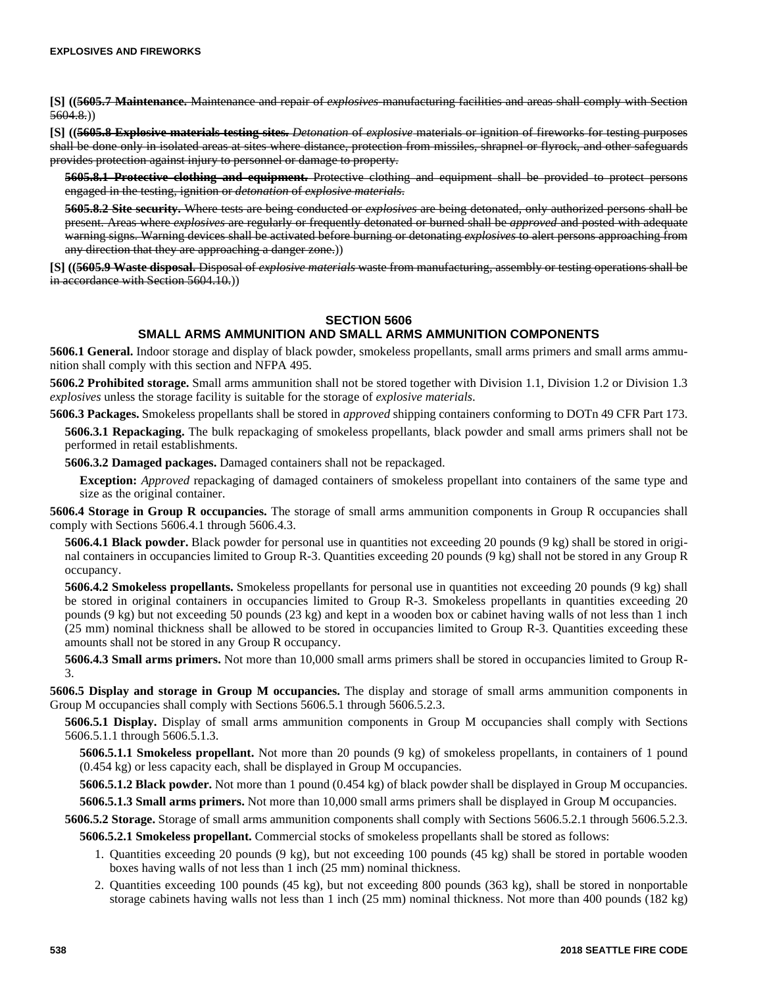**[S] ((5605.7 Maintenance.** Maintenance and repair of *explosives*-manufacturing facilities and areas shall comply with Section 5604.8.))

**[S] ((5605.8 Explosive materials testing sites.** *Detonation* of *explosive* materials or ignition of fireworks for testing purposes shall be done only in isolated areas at sites where distance, protection from missiles, shrapnel or flyrock, and other safeguards provides protection against injury to personnel or damage to property.

**5605.8.1 Protective clothing and equipment.** Protective clothing and equipment shall be provided to protect persons engaged in the testing, ignition or *detonation* of *explosive materials*.

**5605.8.2 Site security.** Where tests are being conducted or *explosives* are being detonated, only authorized persons shall be present. Areas where *explosives* are regularly or frequently detonated or burned shall be *approved* and posted with adequate warning signs. Warning devices shall be activated before burning or detonating *explosives* to alert persons approaching from any direction that they are approaching a danger zone.)

**[S] ((5605.9 Waste disposal.** Disposal of *explosive materials* waste from manufacturing, assembly or testing operations shall be in accordance with Section 5604.10.))

# **SECTION 5606**

# **SMALL ARMS AMMUNITION AND SMALL ARMS AMMUNITION COMPONENTS**

**5606.1 General.** Indoor storage and display of black powder, smokeless propellants, small arms primers and small arms ammunition shall comply with this section and NFPA 495.

**5606.2 Prohibited storage.** Small arms ammunition shall not be stored together with Division 1.1, Division 1.2 or Division 1.3 *explosives* unless the storage facility is suitable for the storage of *explosive materials*.

**5606.3 Packages.** Smokeless propellants shall be stored in *approved* shipping containers conforming to DOTn 49 CFR Part 173.

**5606.3.1 Repackaging.** The bulk repackaging of smokeless propellants, black powder and small arms primers shall not be performed in retail establishments.

**5606.3.2 Damaged packages.** Damaged containers shall not be repackaged.

**Exception:** *Approved* repackaging of damaged containers of smokeless propellant into containers of the same type and size as the original container.

**5606.4 Storage in Group R occupancies.** The storage of small arms ammunition components in Group R occupancies shall comply with Sections 5606.4.1 through 5606.4.3.

**5606.4.1 Black powder.** Black powder for personal use in quantities not exceeding 20 pounds (9 kg) shall be stored in original containers in occupancies limited to Group R-3. Quantities exceeding 20 pounds (9 kg) shall not be stored in any Group R occupancy.

**5606.4.2 Smokeless propellants.** Smokeless propellants for personal use in quantities not exceeding 20 pounds (9 kg) shall be stored in original containers in occupancies limited to Group R-3. Smokeless propellants in quantities exceeding 20 pounds (9 kg) but not exceeding 50 pounds (23 kg) and kept in a wooden box or cabinet having walls of not less than 1 inch (25 mm) nominal thickness shall be allowed to be stored in occupancies limited to Group R-3. Quantities exceeding these amounts shall not be stored in any Group R occupancy.

**5606.4.3 Small arms primers.** Not more than 10,000 small arms primers shall be stored in occupancies limited to Group R-3.

**5606.5 Display and storage in Group M occupancies.** The display and storage of small arms ammunition components in Group M occupancies shall comply with Sections 5606.5.1 through 5606.5.2.3.

**5606.5.1 Display.** Display of small arms ammunition components in Group M occupancies shall comply with Sections 5606.5.1.1 through 5606.5.1.3.

**5606.5.1.1 Smokeless propellant.** Not more than 20 pounds (9 kg) of smokeless propellants, in containers of 1 pound (0.454 kg) or less capacity each, shall be displayed in Group M occupancies.

**5606.5.1.2 Black powder.** Not more than 1 pound (0.454 kg) of black powder shall be displayed in Group M occupancies. **5606.5.1.3 Small arms primers.** Not more than 10,000 small arms primers shall be displayed in Group M occupancies.

**5606.5.2 Storage.** Storage of small arms ammunition components shall comply with Sections 5606.5.2.1 through 5606.5.2.3.

**5606.5.2.1 Smokeless propellant.** Commercial stocks of smokeless propellants shall be stored as follows:

- 1. Quantities exceeding 20 pounds (9 kg), but not exceeding 100 pounds (45 kg) shall be stored in portable wooden boxes having walls of not less than 1 inch (25 mm) nominal thickness.
- 2. Quantities exceeding 100 pounds (45 kg), but not exceeding 800 pounds (363 kg), shall be stored in nonportable storage cabinets having walls not less than 1 inch (25 mm) nominal thickness. Not more than 400 pounds (182 kg)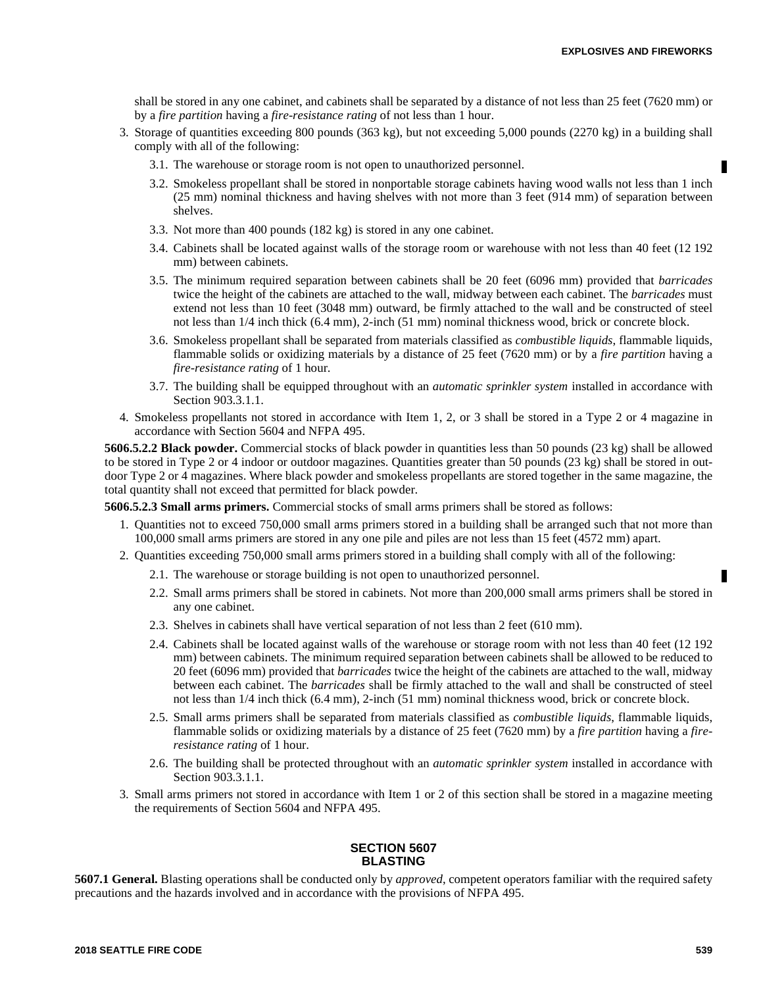Г

shall be stored in any one cabinet, and cabinets shall be separated by a distance of not less than 25 feet (7620 mm) or by a *fire partition* having a *fire-resistance rating* of not less than 1 hour.

- 3. Storage of quantities exceeding 800 pounds (363 kg), but not exceeding 5,000 pounds (2270 kg) in a building shall comply with all of the following:
	- 3.1. The warehouse or storage room is not open to unauthorized personnel.
	- 3.2. Smokeless propellant shall be stored in nonportable storage cabinets having wood walls not less than 1 inch (25 mm) nominal thickness and having shelves with not more than 3 feet (914 mm) of separation between shelves.
	- 3.3. Not more than 400 pounds (182 kg) is stored in any one cabinet.
	- 3.4. Cabinets shall be located against walls of the storage room or warehouse with not less than 40 feet (12 192 mm) between cabinets.
	- 3.5. The minimum required separation between cabinets shall be 20 feet (6096 mm) provided that *barricades* twice the height of the cabinets are attached to the wall, midway between each cabinet. The *barricades* must extend not less than 10 feet (3048 mm) outward, be firmly attached to the wall and be constructed of steel not less than 1/4 inch thick (6.4 mm), 2-inch (51 mm) nominal thickness wood, brick or concrete block.
	- 3.6. Smokeless propellant shall be separated from materials classified as *combustible liquids*, flammable liquids, flammable solids or oxidizing materials by a distance of 25 feet (7620 mm) or by a *fire partition* having a *fire-resistance rating* of 1 hour.
	- 3.7. The building shall be equipped throughout with an *automatic sprinkler system* installed in accordance with Section 903.3.1.1.
- 4. Smokeless propellants not stored in accordance with Item 1, 2, or 3 shall be stored in a Type 2 or 4 magazine in accordance with Section 5604 and NFPA 495.

**5606.5.2.2 Black powder.** Commercial stocks of black powder in quantities less than 50 pounds (23 kg) shall be allowed to be stored in Type 2 or 4 indoor or outdoor magazines. Quantities greater than 50 pounds (23 kg) shall be stored in outdoor Type 2 or 4 magazines. Where black powder and smokeless propellants are stored together in the same magazine, the total quantity shall not exceed that permitted for black powder.

**5606.5.2.3 Small arms primers.** Commercial stocks of small arms primers shall be stored as follows:

- 1. Quantities not to exceed 750,000 small arms primers stored in a building shall be arranged such that not more than 100,000 small arms primers are stored in any one pile and piles are not less than 15 feet (4572 mm) apart.
- 2. Quantities exceeding 750,000 small arms primers stored in a building shall comply with all of the following:
	- 2.1. The warehouse or storage building is not open to unauthorized personnel.
	- 2.2. Small arms primers shall be stored in cabinets. Not more than 200,000 small arms primers shall be stored in any one cabinet.
	- 2.3. Shelves in cabinets shall have vertical separation of not less than 2 feet (610 mm).
	- 2.4. Cabinets shall be located against walls of the warehouse or storage room with not less than 40 feet (12 192 mm) between cabinets. The minimum required separation between cabinets shall be allowed to be reduced to 20 feet (6096 mm) provided that *barricades* twice the height of the cabinets are attached to the wall, midway between each cabinet. The *barricades* shall be firmly attached to the wall and shall be constructed of steel not less than 1/4 inch thick (6.4 mm), 2-inch (51 mm) nominal thickness wood, brick or concrete block.
	- 2.5. Small arms primers shall be separated from materials classified as *combustible liquids*, flammable liquids, flammable solids or oxidizing materials by a distance of 25 feet (7620 mm) by a *fire partition* having a *fireresistance rating* of 1 hour.
	- 2.6. The building shall be protected throughout with an *automatic sprinkler system* installed in accordance with Section 903.3.1.1.
- 3. Small arms primers not stored in accordance with Item 1 or 2 of this section shall be stored in a magazine meeting the requirements of Section 5604 and NFPA 495.

#### **SECTION 5607 BLASTING**

**5607.1 General.** Blasting operations shall be conducted only by *approved*, competent operators familiar with the required safety precautions and the hazards involved and in accordance with the provisions of NFPA 495.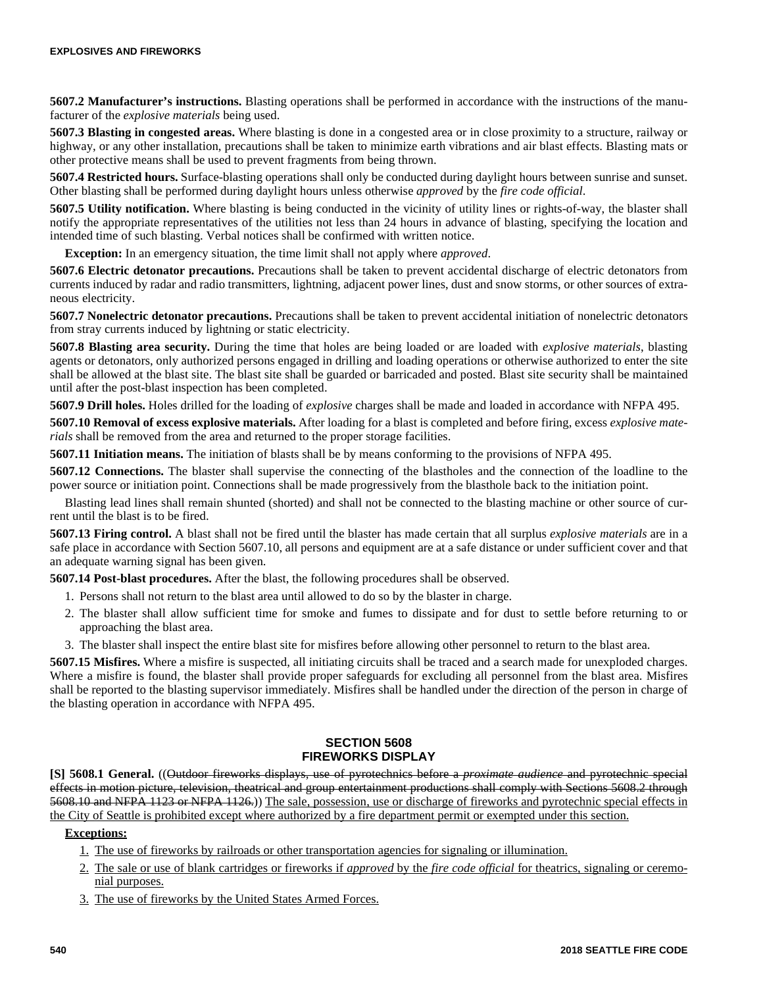**5607.2 Manufacturer's instructions.** Blasting operations shall be performed in accordance with the instructions of the manufacturer of the *explosive materials* being used.

**5607.3 Blasting in congested areas.** Where blasting is done in a congested area or in close proximity to a structure, railway or highway, or any other installation, precautions shall be taken to minimize earth vibrations and air blast effects. Blasting mats or other protective means shall be used to prevent fragments from being thrown.

**5607.4 Restricted hours.** Surface-blasting operations shall only be conducted during daylight hours between sunrise and sunset. Other blasting shall be performed during daylight hours unless otherwise *approved* by the *fire code official*.

**5607.5 Utility notification.** Where blasting is being conducted in the vicinity of utility lines or rights-of-way, the blaster shall notify the appropriate representatives of the utilities not less than 24 hours in advance of blasting, specifying the location and intended time of such blasting. Verbal notices shall be confirmed with written notice.

**Exception:** In an emergency situation, the time limit shall not apply where *approved*.

**5607.6 Electric detonator precautions.** Precautions shall be taken to prevent accidental discharge of electric detonators from currents induced by radar and radio transmitters, lightning, adjacent power lines, dust and snow storms, or other sources of extraneous electricity.

**5607.7 Nonelectric detonator precautions.** Precautions shall be taken to prevent accidental initiation of nonelectric detonators from stray currents induced by lightning or static electricity.

**5607.8 Blasting area security.** During the time that holes are being loaded or are loaded with *explosive materials*, blasting agents or detonators, only authorized persons engaged in drilling and loading operations or otherwise authorized to enter the site shall be allowed at the blast site. The blast site shall be guarded or barricaded and posted. Blast site security shall be maintained until after the post-blast inspection has been completed.

**5607.9 Drill holes.** Holes drilled for the loading of *explosive* charges shall be made and loaded in accordance with NFPA 495.

**5607.10 Removal of excess explosive materials.** After loading for a blast is completed and before firing, excess *explosive materials* shall be removed from the area and returned to the proper storage facilities.

**5607.11 Initiation means.** The initiation of blasts shall be by means conforming to the provisions of NFPA 495.

**5607.12 Connections.** The blaster shall supervise the connecting of the blastholes and the connection of the loadline to the power source or initiation point. Connections shall be made progressively from the blasthole back to the initiation point.

Blasting lead lines shall remain shunted (shorted) and shall not be connected to the blasting machine or other source of current until the blast is to be fired.

**5607.13 Firing control.** A blast shall not be fired until the blaster has made certain that all surplus *explosive materials* are in a safe place in accordance with Section 5607.10, all persons and equipment are at a safe distance or under sufficient cover and that an adequate warning signal has been given.

**5607.14 Post-blast procedures.** After the blast, the following procedures shall be observed.

- 1. Persons shall not return to the blast area until allowed to do so by the blaster in charge.
- 2. The blaster shall allow sufficient time for smoke and fumes to dissipate and for dust to settle before returning to or approaching the blast area.
- 3. The blaster shall inspect the entire blast site for misfires before allowing other personnel to return to the blast area.

**5607.15 Misfires.** Where a misfire is suspected, all initiating circuits shall be traced and a search made for unexploded charges. Where a misfire is found, the blaster shall provide proper safeguards for excluding all personnel from the blast area. Misfires shall be reported to the blasting supervisor immediately. Misfires shall be handled under the direction of the person in charge of the blasting operation in accordance with NFPA 495.

# **SECTION 5608 FIREWORKS DISPLAY**

**[S] 5608.1 General.** ((Outdoor fireworks displays, use of pyrotechnics before a *proximate audience* and pyrotechnic special effects in motion picture, television, theatrical and group entertainment productions shall comply with Sections 5608.2 through 5608.10 and NFPA 1123 or NFPA 1126.)) The sale, possession, use or discharge of fireworks and pyrotechnic special effects in the City of Seattle is prohibited except where authorized by a fire department permit or exempted under this section.

# **Exceptions:**

- 1. The use of fireworks by railroads or other transportation agencies for signaling or illumination.
- 2. The sale or use of blank cartridges or fireworks if *approved* by the *fire code official* for theatrics, signaling or ceremonial purposes.
- 3. The use of fireworks by the United States Armed Forces.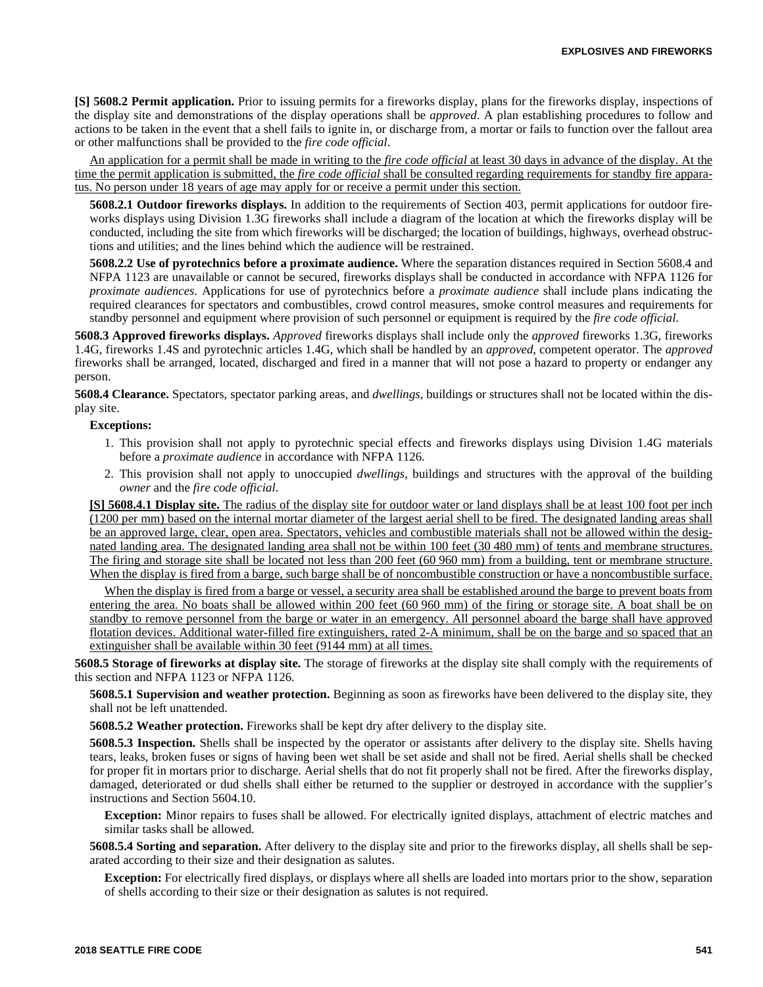**[S] 5608.2 Permit application.** Prior to issuing permits for a fireworks display, plans for the fireworks display, inspections of the display site and demonstrations of the display operations shall be *approved*. A plan establishing procedures to follow and actions to be taken in the event that a shell fails to ignite in, or discharge from, a mortar or fails to function over the fallout area or other malfunctions shall be provided to the *fire code official*.

An application for a permit shall be made in writing to the *fire code official* at least 30 days in advance of the display. At the time the permit application is submitted, the *fire code official* shall be consulted regarding requirements for standby fire apparatus. No person under 18 years of age may apply for or receive a permit under this section.

**5608.2.1 Outdoor fireworks displays.** In addition to the requirements of Section 403, permit applications for outdoor fireworks displays using Division 1.3G fireworks shall include a diagram of the location at which the fireworks display will be conducted, including the site from which fireworks will be discharged; the location of buildings, highways, overhead obstructions and utilities; and the lines behind which the audience will be restrained.

**5608.2.2 Use of pyrotechnics before a proximate audience.** Where the separation distances required in Section 5608.4 and NFPA 1123 are unavailable or cannot be secured, fireworks displays shall be conducted in accordance with NFPA 1126 for *proximate audiences*. Applications for use of pyrotechnics before a *proximate audience* shall include plans indicating the required clearances for spectators and combustibles, crowd control measures, smoke control measures and requirements for standby personnel and equipment where provision of such personnel or equipment is required by the *fire code official*.

**5608.3 Approved fireworks displays.** *Approved* fireworks displays shall include only the *approved* fireworks 1.3G, fireworks 1.4G, fireworks 1.4S and pyrotechnic articles 1.4G, which shall be handled by an *approved*, competent operator. The *approved* fireworks shall be arranged, located, discharged and fired in a manner that will not pose a hazard to property or endanger any person.

**5608.4 Clearance.** Spectators, spectator parking areas, and *dwellings*, buildings or structures shall not be located within the display site.

# **Exceptions:**

- 1. This provision shall not apply to pyrotechnic special effects and fireworks displays using Division 1.4G materials before a *proximate audience* in accordance with NFPA 1126.
- 2. This provision shall not apply to unoccupied *dwellings*, buildings and structures with the approval of the building *owner* and the *fire code official*.

**[S] 5608.4.1 Display site.** The radius of the display site for outdoor water or land displays shall be at least 100 foot per inch (1200 per mm) based on the internal mortar diameter of the largest aerial shell to be fired. The designated landing areas shall be an approved large, clear, open area. Spectators, vehicles and combustible materials shall not be allowed within the designated landing area. The designated landing area shall not be within 100 feet (30 480 mm) of tents and membrane structures. The firing and storage site shall be located not less than 200 feet (60 960 mm) from a building, tent or membrane structure. When the display is fired from a barge, such barge shall be of noncombustible construction or have a noncombustible surface.

When the display is fired from a barge or vessel, a security area shall be established around the barge to prevent boats from entering the area. No boats shall be allowed within 200 feet (60 960 mm) of the firing or storage site. A boat shall be on standby to remove personnel from the barge or water in an emergency. All personnel aboard the barge shall have approved flotation devices. Additional water-filled fire extinguishers, rated 2-A minimum, shall be on the barge and so spaced that an extinguisher shall be available within 30 feet (9144 mm) at all times.

**5608.5 Storage of fireworks at display site.** The storage of fireworks at the display site shall comply with the requirements of this section and NFPA 1123 or NFPA 1126.

**5608.5.1 Supervision and weather protection.** Beginning as soon as fireworks have been delivered to the display site, they shall not be left unattended.

**5608.5.2 Weather protection.** Fireworks shall be kept dry after delivery to the display site.

**5608.5.3 Inspection.** Shells shall be inspected by the operator or assistants after delivery to the display site. Shells having tears, leaks, broken fuses or signs of having been wet shall be set aside and shall not be fired. Aerial shells shall be checked for proper fit in mortars prior to discharge. Aerial shells that do not fit properly shall not be fired. After the fireworks display, damaged, deteriorated or dud shells shall either be returned to the supplier or destroyed in accordance with the supplier's instructions and Section 5604.10.

**Exception:** Minor repairs to fuses shall be allowed. For electrically ignited displays, attachment of electric matches and similar tasks shall be allowed.

**5608.5.4 Sorting and separation.** After delivery to the display site and prior to the fireworks display, all shells shall be separated according to their size and their designation as salutes.

**Exception:** For electrically fired displays, or displays where all shells are loaded into mortars prior to the show, separation of shells according to their size or their designation as salutes is not required.